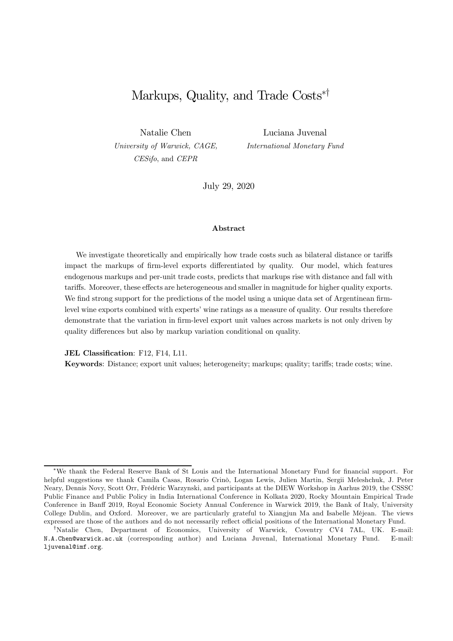# Markups, Quality, and Trade  $\text{Costs}^{*}$

Natalie Chen *University of Warwick, CAGE, CESifo*, and *CEPR*

Luciana Juvenal *International Monetary Fund*

July 29, 2020

#### Abstract

We investigate theoretically and empirically how trade costs such as bilateral distance or tariffs impact the markups of firm-level exports differentiated by quality. Our model, which features endogenous markups and per-unit trade costs, predicts that markups rise with distance and fall with tariffs. Moreover, these effects are heterogeneous and smaller in magnitude for higher quality exports. We find strong support for the predictions of the model using a unique data set of Argentinean firmlevel wine exports combined with experts' wine ratings as a measure of quality. Our results therefore demonstrate that the variation in firm-level export unit values across markets is not only driven by quality differences but also by markup variation conditional on quality.

JEL Classification: F12, F14, L11.

Keywords: Distance; export unit values; heterogeneity; markups; quality; tariffs; trade costs; wine.

<sup>\*</sup>We thank the Federal Reserve Bank of St Louis and the International Monetary Fund for financial support. For helpful suggestions we thank Camila Casas, Rosario Crinò, Logan Lewis, Julien Martin, Sergii Meleshchuk, J. Peter Neary, Dennis Novy, Scott Orr, Frédéric Warzynski, and participants at the DIEW Workshop in Aarhus 2019, the CSSSC Public Finance and Public Policy in India International Conference in Kolkata 2020, Rocky Mountain Empirical Trade Conference in Banff 2019, Royal Economic Society Annual Conference in Warwick 2019, the Bank of Italy, University College Dublin, and Oxford. Moreover, we are particularly grateful to Xiangjun Ma and Isabelle Méjean. The views expressed are those of the authors and do not necessarily reflect official positions of the International Monetary Fund.

<sup>&</sup>lt;sup>†</sup>Natalie Chen, Department of Economics, University of Warwick, Coventry CV4 7AL, UK. E-mail: N.A.Chen@warwick.ac.uk (corresponding author) and Luciana Juvenal, International Monetary Fund. E-mail: ljuvenal@imf.org.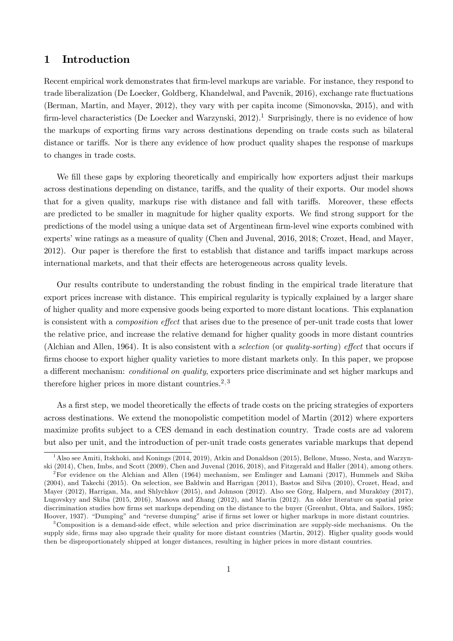## 1 Introduction

Recent empirical work demonstrates that firm-level markups are variable. For instance, they respond to trade liberalization (De Loecker, Goldberg, Khandelwal, and Pavcnik, 2016), exchange rate fluctuations (Berman, Martin, and Mayer, 2012), they vary with per capita income (Simonovska, 2015), and with firm-level characteristics (De Loecker and Warzynski,  $2012$ ).<sup>1</sup> Surprisingly, there is no evidence of how the markups of exporting firms vary across destinations depending on trade costs such as bilateral distance or tariffs. Nor is there any evidence of how product quality shapes the response of markups to changes in trade costs.

We fill these gaps by exploring theoretically and empirically how exporters adjust their markups across destinations depending on distance, tariffs, and the quality of their exports. Our model shows that for a given quality, markups rise with distance and fall with tariffs. Moreover, these effects are predicted to be smaller in magnitude for higher quality exports. We find strong support for the predictions of the model using a unique data set of Argentinean firm-level wine exports combined with experts' wine ratings as a measure of quality (Chen and Juvenal, 2016, 2018; Crozet, Head, and Mayer, 2012). Our paper is therefore the first to establish that distance and tariffs impact markups across international markets, and that their effects are heterogeneous across quality levels.

Our results contribute to understanding the robust finding in the empirical trade literature that export prices increase with distance. This empirical regularity is typically explained by a larger share of higher quality and more expensive goods being exported to more distant locations. This explanation is consistent with a *composition effect* that arises due to the presence of per-unit trade costs that lower the relative price, and increase the relative demand for higher quality goods in more distant countries (Alchian and Allen, 1964). It is also consistent with a *selection* (or *quality-sorting*) *effect* that occurs if firms choose to export higher quality varieties to more distant markets only. In this paper, we propose a different mechanism: *conditional on quality*, exporters price discriminate and set higher markups and therefore higher prices in more distant countries.<sup>2, 3</sup>

As a first step, we model theoretically the effects of trade costs on the pricing strategies of exporters across destinations. We extend the monopolistic competition model of Martin (2012) where exporters maximize profits subject to a CES demand in each destination country. Trade costs are ad valorem but also per unit, and the introduction of per-unit trade costs generates variable markups that depend

 $^1$ Also see Amiti, Itskhoki, and Konings (2014, 2019), Atkin and Donaldson (2015), Bellone, Musso, Nesta, and Warzynski (2014), Chen, Imbs, and Scott (2009), Chen and Juvenal (2016, 2018), and Fitzgerald and Haller (2014), among others.

<sup>2</sup>For evidence on the Alchian and Allen (1964) mechanism, see Emlinger and Lamani (2017), Hummels and Skiba (2004), and Takechi (2015). On selection, see Baldwin and Harrigan (2011), Bastos and Silva (2010), Crozet, Head, and Mayer (2012), Harrigan, Ma, and Shlychkov (2015), and Johnson (2012). Also see Görg, Halpern, and Muraközy (2017), Lugovskyy and Skiba (2015, 2016), Manova and Zhang (2012), and Martin (2012). An older literature on spatial price discrimination studies how firms set markups depending on the distance to the buyer (Greenhut, Ohta, and Sailors, 1985; Hoover, 1937). "Dumping" and "reverse dumping" arise if firms set lower or higher markups in more distant countries.

 $3$ Composition is a demand-side effect, while selection and price discrimination are supply-side mechanisms. On the supply side, firms may also upgrade their quality for more distant countries (Martin, 2012). Higher quality goods would then be disproportionately shipped at longer distances, resulting in higher prices in more distant countries.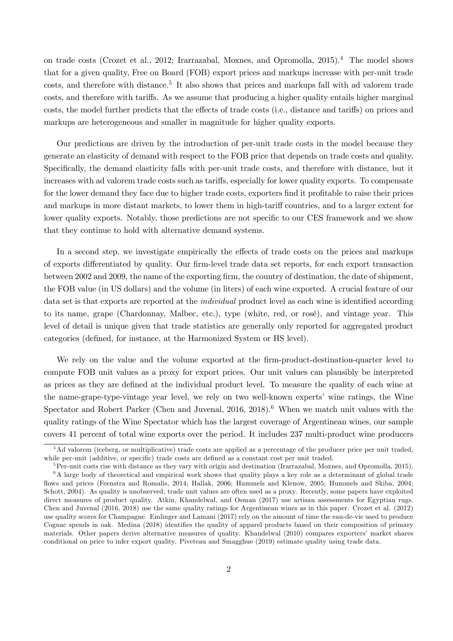on trade costs (Crozet et al., 2012; Irarrazabal, Moxnes, and Opromolla, 2015).<sup>4</sup> The model shows that for a given quality, Free on Board (FOB) export prices and markups increase with per-unit trade costs, and therefore with distance.<sup>5</sup> It also shows that prices and markups fall with ad valorem trade costs, and therefore with tariffs. As we assume that producing a higher quality entails higher marginal costs, the model further predicts that the effects of trade costs (i.e., distance and tariffs) on prices and markups are heterogeneous and smaller in magnitude for higher quality exports.

Our predictions are driven by the introduction of per-unit trade costs in the model because they generate an elasticity of demand with respect to the FOB price that depends on trade costs and quality. Specifically, the demand elasticity falls with per-unit trade costs, and therefore with distance, but it increases with ad valorem trade costs such as tariffs, especially for lower quality exports. To compensate for the lower demand they face due to higher trade costs, exporters find it profitable to raise their prices and markups in more distant markets, to lower them in high-tariff countries, and to a larger extent for lower quality exports. Notably, those predictions are not specific to our CES framework and we show that they continue to hold with alternative demand systems.

In a second step, we investigate empirically the effects of trade costs on the prices and markups of exports differentiated by quality. Our firm-level trade data set reports, for each export transaction between 2002 and 2009, the name of the exporting firm, the country of destination, the date of shipment, the FOB value (in US dollars) and the volume (in liters) of each wine exported. A crucial feature of our data set is that exports are reported at the *individual* product level as each wine is identified according to its name, grape (Chardonnay, Malbec, etc.), type (white, red, or rosé), and vintage year. This level of detail is unique given that trade statistics are generally only reported for aggregated product categories (defined, for instance, at the Harmonized System or HS level).

We rely on the value and the volume exported at the firm-product-destination-quarter level to compute FOB unit values as a proxy for export prices. Our unit values can plausibly be interpreted as prices as they are defined at the individual product level. To measure the quality of each wine at the name-grape-type-vintage year level, we rely on two well-known experts' wine ratings, the Wine Spectator and Robert Parker (Chen and Juvenal,  $2016, 2018$ ).<sup>6</sup> When we match unit values with the quality ratings of the Wine Spectator which has the largest coverage of Argentinean wines, our sample covers 41 percent of total wine exports over the period. It includes 237 multi-product wine producers

<sup>&</sup>lt;sup>4</sup>Ad valorem (iceberg, or multiplicative) trade costs are applied as a percentage of the producer price per unit traded, while per-unit (additive, or specific) trade costs are defined as a constant cost per unit traded.

 ${}^{5}$ Per-unit costs rise with distance as they vary with origin and destination (Irarrazabal, Moxnes, and Opromolla, 2015).  $6A$  large body of theoretical and empirical work shows that quality plays a key role as a determinant of global trade ‡ows and prices (Feenstra and Romalis, 2014; Hallak, 2006; Hummels and Klenow, 2005; Hummels and Skiba, 2004; Schott, 2004). As quality is unobserved, trade unit values are often used as a proxy. Recently, some papers have exploited direct measures of product quality. Atkin, Khandelwal, and Osman (2017) use artisan assessments for Egyptian rugs. Chen and Juvenal (2016, 2018) use the same quality ratings for Argentinean wines as in this paper. Crozet et al. (2012) use quality scores for Champagne. Emlinger and Lamani (2017) rely on the amount of time the eau-de-vie used to produce Cognac spends in oak. Medina (2018) identifies the quality of apparel products based on their composition of primary materials. Other papers derive alternative measures of quality. Khandelwal (2010) compares exporters' market shares conditional on price to infer export quality. Piveteau and Smagghue (2019) estimate quality using trade data.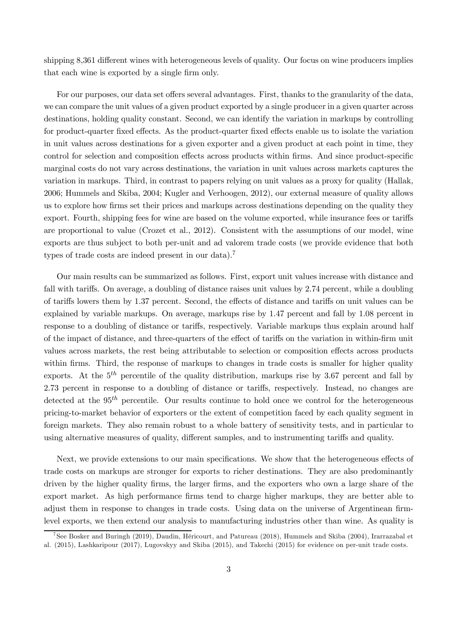shipping 8,361 different wines with heterogeneous levels of quality. Our focus on wine producers implies that each wine is exported by a single firm only.

For our purposes, our data set offers several advantages. First, thanks to the granularity of the data, we can compare the unit values of a given product exported by a single producer in a given quarter across destinations, holding quality constant. Second, we can identify the variation in markups by controlling for product-quarter fixed effects. As the product-quarter fixed effects enable us to isolate the variation in unit values across destinations for a given exporter and a given product at each point in time, they control for selection and composition effects across products within firms. And since product-specific marginal costs do not vary across destinations, the variation in unit values across markets captures the variation in markups. Third, in contrast to papers relying on unit values as a proxy for quality (Hallak, 2006; Hummels and Skiba, 2004; Kugler and Verhoogen, 2012), our external measure of quality allows us to explore how firms set their prices and markups across destinations depending on the quality they export. Fourth, shipping fees for wine are based on the volume exported, while insurance fees or tariffs are proportional to value (Crozet et al., 2012). Consistent with the assumptions of our model, wine exports are thus subject to both per-unit and ad valorem trade costs (we provide evidence that both types of trade costs are indeed present in our data).<sup>7</sup>

Our main results can be summarized as follows. First, export unit values increase with distance and fall with tariffs. On average, a doubling of distance raises unit values by 2.74 percent, while a doubling of tariffs lowers them by 1.37 percent. Second, the effects of distance and tariffs on unit values can be explained by variable markups. On average, markups rise by 1.47 percent and fall by 1.08 percent in response to a doubling of distance or tariffs, respectively. Variable markups thus explain around half of the impact of distance, and three-quarters of the effect of tariffs on the variation in within-firm unit values across markets, the rest being attributable to selection or composition effects across products within firms. Third, the response of markups to changes in trade costs is smaller for higher quality exports. At the  $5<sup>th</sup>$  percentile of the quality distribution, markups rise by 3.67 percent and fall by 2.73 percent in response to a doubling of distance or tariffs, respectively. Instead, no changes are detected at the  $95<sup>th</sup>$  percentile. Our results continue to hold once we control for the heterogeneous pricing-to-market behavior of exporters or the extent of competition faced by each quality segment in foreign markets. They also remain robust to a whole battery of sensitivity tests, and in particular to using alternative measures of quality, different samples, and to instrumenting tariffs and quality.

Next, we provide extensions to our main specifications. We show that the heterogeneous effects of trade costs on markups are stronger for exports to richer destinations. They are also predominantly driven by the higher quality firms, the larger firms, and the exporters who own a large share of the export market. As high performance firms tend to charge higher markups, they are better able to adjust them in response to changes in trade costs. Using data on the universe of Argentinean firmlevel exports, we then extend our analysis to manufacturing industries other than wine. As quality is

<sup>&</sup>lt;sup>7</sup> See Bosker and Buringh (2019), Daudin, Héricourt, and Patureau (2018), Hummels and Skiba (2004), Irarrazabal et al. (2015), Lashkaripour (2017), Lugovskyy and Skiba (2015), and Takechi (2015) for evidence on per-unit trade costs.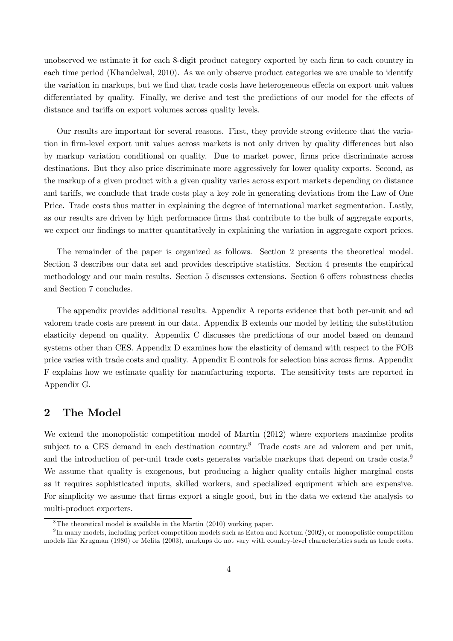unobserved we estimate it for each 8-digit product category exported by each firm to each country in each time period (Khandelwal, 2010). As we only observe product categories we are unable to identify the variation in markups, but we find that trade costs have heterogeneous effects on export unit values differentiated by quality. Finally, we derive and test the predictions of our model for the effects of distance and tariffs on export volumes across quality levels.

Our results are important for several reasons. First, they provide strong evidence that the variation in firm-level export unit values across markets is not only driven by quality differences but also by markup variation conditional on quality. Due to market power, firms price discriminate across destinations. But they also price discriminate more aggressively for lower quality exports. Second, as the markup of a given product with a given quality varies across export markets depending on distance and tariffs, we conclude that trade costs play a key role in generating deviations from the Law of One Price. Trade costs thus matter in explaining the degree of international market segmentation. Lastly, as our results are driven by high performance firms that contribute to the bulk of aggregate exports, we expect our findings to matter quantitatively in explaining the variation in aggregate export prices.

The remainder of the paper is organized as follows. Section 2 presents the theoretical model. Section 3 describes our data set and provides descriptive statistics. Section 4 presents the empirical methodology and our main results. Section 5 discusses extensions. Section 6 offers robustness checks and Section 7 concludes.

The appendix provides additional results. Appendix A reports evidence that both per-unit and ad valorem trade costs are present in our data. Appendix B extends our model by letting the substitution elasticity depend on quality. Appendix C discusses the predictions of our model based on demand systems other than CES. Appendix D examines how the elasticity of demand with respect to the FOB price varies with trade costs and quality. Appendix E controls for selection bias across firms. Appendix F explains how we estimate quality for manufacturing exports. The sensitivity tests are reported in Appendix G.

## 2 The Model

We extend the monopolistic competition model of Martin  $(2012)$  where exporters maximize profits subject to a CES demand in each destination country.<sup>8</sup> Trade costs are ad valorem and per unit, and the introduction of per-unit trade costs generates variable markups that depend on trade costs.<sup>9</sup> We assume that quality is exogenous, but producing a higher quality entails higher marginal costs as it requires sophisticated inputs, skilled workers, and specialized equipment which are expensive. For simplicity we assume that firms export a single good, but in the data we extend the analysis to multi-product exporters.

<sup>&</sup>lt;sup>8</sup>The theoretical model is available in the Martin  $(2010)$  working paper.

 $^{9}$ In many models, including perfect competition models such as Eaton and Kortum (2002), or monopolistic competition models like Krugman (1980) or Melitz (2003), markups do not vary with country-level characteristics such as trade costs.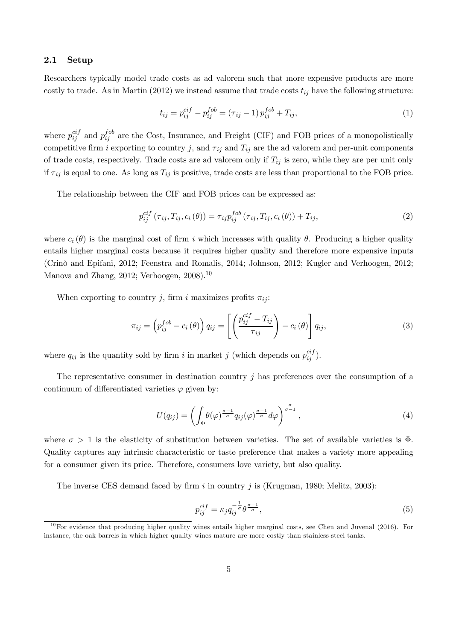#### 2.1 Setup

Researchers typically model trade costs as ad valorem such that more expensive products are more costly to trade. As in Martin (2012) we instead assume that trade costs  $t_{ij}$  have the following structure:

$$
t_{ij} = p_{ij}^{ci} - p_{ij}^{fob} = (\tau_{ij} - 1) p_{ij}^{fob} + T_{ij}, \qquad (1)
$$

where  $p_{ij}^{cif}$  $_{ij}^{cif}$  and  $p_{ij}^{fob}$  $i_j^{100}$  are the Cost, Insurance, and Freight (CIF) and FOB prices of a monopolistically competitive firm i exporting to country j, and  $\tau_{ij}$  and  $T_{ij}$  are the ad valorem and per-unit components of trade costs, respectively. Trade costs are ad valorem only if  $T_{ij}$  is zero, while they are per unit only if  $\tau_{ij}$  is equal to one. As long as  $T_{ij}$  is positive, trade costs are less than proportional to the FOB price.

The relationship between the CIF and FOB prices can be expressed as:

$$
p_{ij}^{cif}(\tau_{ij}, T_{ij}, c_i(\theta)) = \tau_{ij} p_{ij}^{fob}(\tau_{ij}, T_{ij}, c_i(\theta)) + T_{ij},
$$
\n(2)

where  $c_i(\theta)$  is the marginal cost of firm i which increases with quality  $\theta$ . Producing a higher quality entails higher marginal costs because it requires higher quality and therefore more expensive inputs (Crinò and Epifani, 2012; Feenstra and Romalis, 2014; Johnson, 2012; Kugler and Verhoogen, 2012; Manova and Zhang, 2012; Verhoogen,  $2008$ .<sup>10</sup>

When exporting to country j, firm i maximizes profits  $\pi_{ij}$ :

$$
\pi_{ij} = \left(p_{ij}^{fob} - c_i\left(\theta\right)\right)q_{ij} = \left[\left(\frac{p_{ij}^{ci} - T_{ij}}{\tau_{ij}}\right) - c_i\left(\theta\right)\right]q_{ij},\tag{3}
$$

where  $q_{ij}$  is the quantity sold by firm i in market j (which depends on  $p_{ij}^{cij}$  $\binom{cij}{ij}$ .

The representative consumer in destination country j has preferences over the consumption of a continuum of differentiated varieties  $\varphi$  given by:

$$
U(q_{ij}) = \left(\int_{\Phi} \theta(\varphi)^{\frac{\sigma-1}{\sigma}} q_{ij}(\varphi)^{\frac{\sigma-1}{\sigma}} d\varphi\right)^{\frac{\sigma}{\sigma-1}},\tag{4}
$$

where  $\sigma > 1$  is the elasticity of substitution between varieties. The set of available varieties is  $\Phi$ . Quality captures any intrinsic characteristic or taste preference that makes a variety more appealing for a consumer given its price. Therefore, consumers love variety, but also quality.

The inverse CES demand faced by firm i in country j is (Krugman, 1980; Melitz, 2003):

$$
p_{ij}^{cif} = \kappa_j q_{ij}^{-\frac{1}{\sigma}} \theta^{\frac{\sigma - 1}{\sigma}},\tag{5}
$$

 $10$  For evidence that producing higher quality wines entails higher marginal costs, see Chen and Juvenal (2016). For instance, the oak barrels in which higher quality wines mature are more costly than stainless-steel tanks.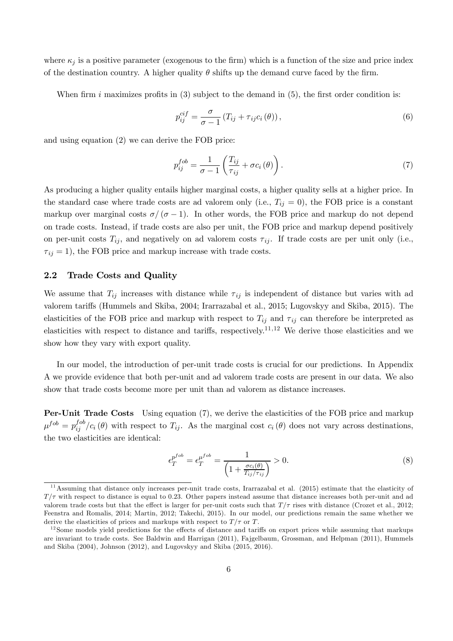where  $\kappa_i$  is a positive parameter (exogenous to the firm) which is a function of the size and price index of the destination country. A higher quality  $\theta$  shifts up the demand curve faced by the firm.

When firm i maximizes profits in  $(3)$  subject to the demand in  $(5)$ , the first order condition is:

$$
p_{ij}^{cif} = \frac{\sigma}{\sigma - 1} \left( T_{ij} + \tau_{ij} c_i \left( \theta \right) \right), \tag{6}
$$

and using equation (2) we can derive the FOB price:

$$
p_{ij}^{fob} = \frac{1}{\sigma - 1} \left( \frac{T_{ij}}{\tau_{ij}} + \sigma c_i \left( \theta \right) \right). \tag{7}
$$

As producing a higher quality entails higher marginal costs, a higher quality sells at a higher price. In the standard case where trade costs are ad valorem only (i.e.,  $T_{ij} = 0$ ), the FOB price is a constant markup over marginal costs  $\sigma/(\sigma-1)$ . In other words, the FOB price and markup do not depend on trade costs. Instead, if trade costs are also per unit, the FOB price and markup depend positively on per-unit costs  $T_{ij}$ , and negatively on ad valorem costs  $\tau_{ij}$ . If trade costs are per unit only (i.e.,  $\tau_{ij} = 1$ , the FOB price and markup increase with trade costs.

### 2.2 Trade Costs and Quality

We assume that  $T_{ij}$  increases with distance while  $\tau_{ij}$  is independent of distance but varies with ad valorem tariffs (Hummels and Skiba, 2004; Irarrazabal et al., 2015; Lugovskyy and Skiba, 2015). The elasticities of the FOB price and markup with respect to  $T_{ij}$  and  $\tau_{ij}$  can therefore be interpreted as elasticities with respect to distance and tariffs, respectively.<sup>11,12</sup> We derive those elasticities and we show how they vary with export quality.

In our model, the introduction of per-unit trade costs is crucial for our predictions. In Appendix A we provide evidence that both per-unit and ad valorem trade costs are present in our data. We also show that trade costs become more per unit than ad valorem as distance increases.

Per-Unit Trade Costs Using equation (7), we derive the elasticities of the FOB price and markup  $\mu^{fob} = p^{fob}_{ij}$  $i_j^{oo}/c_i(\theta)$  with respect to  $T_{ij}$ . As the marginal cost  $c_i(\theta)$  does not vary across destinations, the two elasticities are identical:

$$
\epsilon_T^{p^{fob}} = \epsilon_T^{\mu^{fob}} = \frac{1}{\left(1 + \frac{\sigma c_i(\theta)}{T_{ij}/\tau_{ij}}\right)} > 0. \tag{8}
$$

 $11$ Assuming that distance only increases per-unit trade costs, Irarrazabal et al. (2015) estimate that the elasticity of  $T/\tau$  with respect to distance is equal to 0.23. Other papers instead assume that distance increases both per-unit and ad valorem trade costs but that the effect is larger for per-unit costs such that  $T/\tau$  rises with distance (Crozet et al., 2012; Feenstra and Romalis, 2014; Martin, 2012; Takechi, 2015). In our model, our predictions remain the same whether we derive the elasticities of prices and markups with respect to  $T/\tau$  or T.

 $12$ Some models yield predictions for the effects of distance and tariffs on export prices while assuming that markups are invariant to trade costs. See Baldwin and Harrigan (2011), Fajgelbaum, Grossman, and Helpman (2011), Hummels and Skiba (2004), Johnson (2012), and Lugovskyy and Skiba (2015, 2016).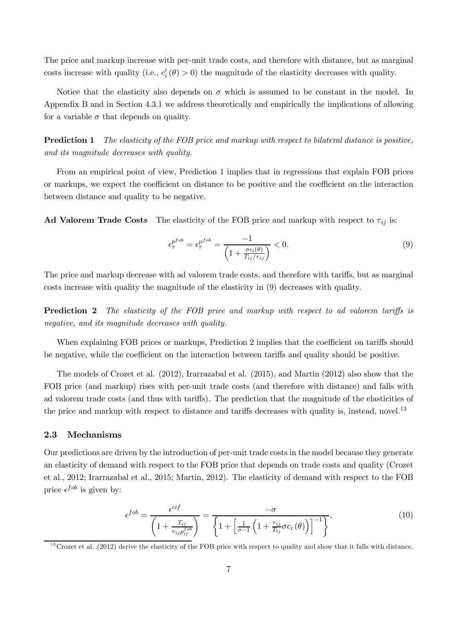The price and markup increase with per-unit trade costs, and therefore with distance, but as marginal costs increase with quality (i.e.,  $c_i'(\theta) > 0$ ) the magnitude of the elasticity decreases with quality.

Notice that the elasticity also depends on  $\sigma$  which is assumed to be constant in the model. In Appendix B and in Section 4.3.1 we address theoretically and empirically the implications of allowing for a variable  $\sigma$  that depends on quality.

Prediction 1 *The elasticity of the FOB price and markup with respect to bilateral distance is positive, and its magnitude decreases with quality.*

From an empirical point of view, Prediction 1 implies that in regressions that explain FOB prices or markups, we expect the coefficient on distance to be positive and the coefficient on the interaction between distance and quality to be negative.

Ad Valorem Trade Costs The elasticity of the FOB price and markup with respect to  $\tau_{ij}$  is:

$$
\epsilon_{\tau}^{p^{fob}} = \epsilon_{\tau}^{\mu^{fob}} = \frac{-1}{\left(1 + \frac{\sigma c_i(\theta)}{T_{ij}/\tau_{ij}}\right)} < 0. \tag{9}
$$

The price and markup decrease with ad valorem trade costs, and therefore with tariffs, but as marginal costs increase with quality the magnitude of the elasticity in (9) decreases with quality.

**Prediction 2** The elasticity of the FOB price and markup with respect to ad valorem tariffs is *negative, and its magnitude decreases with quality.*

When explaining FOB prices or markups, Prediction 2 implies that the coefficient on tariffs should be negative, while the coefficient on the interaction between tariffs and quality should be positive.

The models of Crozet et al. (2012), Irarrazabal et al. (2015), and Martin (2012) also show that the FOB price (and markup) rises with per-unit trade costs (and therefore with distance) and falls with ad valorem trade costs (and thus with tariffs). The prediction that the magnitude of the elasticities of the price and markup with respect to distance and tariffs decreases with quality is, instead, novel.<sup>13</sup>

#### 2.3 Mechanisms

Our predictions are driven by the introduction of per-unit trade costs in the model because they generate an elasticity of demand with respect to the FOB price that depends on trade costs and quality (Crozet et al., 2012; Irarrazabal et al., 2015; Martin, 2012). The elasticity of demand with respect to the FOB price  $\epsilon^{fob}$  is given by:

$$
\epsilon^{fob} = \frac{\epsilon^{cif}}{\left(1 + \frac{T_{ij}}{\tau_{ij}p_{ij}^{fob}}\right)} = \frac{-\sigma}{\left\{1 + \left[\frac{1}{\sigma - 1}\left(1 + \frac{\tau_{ij}}{T_{ij}}\sigma c_i\left(\theta\right)\right)\right]^{-1}\right\}},\tag{10}
$$

 $^{13}$ Crozet et al. (2012) derive the elasticity of the FOB price with respect to quality and show that it falls with distance.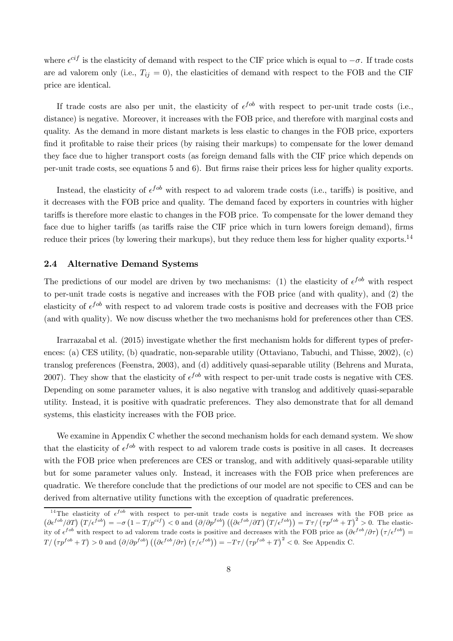where  $\epsilon^{cif}$  is the elasticity of demand with respect to the CIF price which is equal to  $-\sigma$ . If trade costs are ad valorem only (i.e.,  $T_{ij} = 0$ ), the elasticities of demand with respect to the FOB and the CIF price are identical.

If trade costs are also per unit, the elasticity of  $\epsilon^{fob}$  with respect to per-unit trade costs (i.e., distance) is negative. Moreover, it increases with the FOB price, and therefore with marginal costs and quality. As the demand in more distant markets is less elastic to changes in the FOB price, exporters find it profitable to raise their prices (by raising their markups) to compensate for the lower demand they face due to higher transport costs (as foreign demand falls with the CIF price which depends on per-unit trade costs, see equations 5 and 6). But firms raise their prices less for higher quality exports.

Instead, the elasticity of  $\epsilon^{fob}$  with respect to ad valorem trade costs (i.e., tariffs) is positive, and it decreases with the FOB price and quality. The demand faced by exporters in countries with higher tariffs is therefore more elastic to changes in the FOB price. To compensate for the lower demand they face due to higher tariffs (as tariffs raise the CIF price which in turn lowers foreign demand), firms reduce their prices (by lowering their markups), but they reduce them less for higher quality exports.<sup>14</sup>

### 2.4 Alternative Demand Systems

The predictions of our model are driven by two mechanisms: (1) the elasticity of  $\epsilon^{fob}$  with respect to per-unit trade costs is negative and increases with the FOB price (and with quality), and (2) the elasticity of  $\epsilon^{fob}$  with respect to ad valorem trade costs is positive and decreases with the FOB price (and with quality). We now discuss whether the two mechanisms hold for preferences other than CES.

Irarrazabal et al. (2015) investigate whether the first mechanism holds for different types of preferences: (a) CES utility, (b) quadratic, non-separable utility (Ottaviano, Tabuchi, and Thisse, 2002), (c) translog preferences (Feenstra, 2003), and (d) additively quasi-separable utility (Behrens and Murata, 2007). They show that the elasticity of  $\epsilon^{fob}$  with respect to per-unit trade costs is negative with CES. Depending on some parameter values, it is also negative with translog and additively quasi-separable utility. Instead, it is positive with quadratic preferences. They also demonstrate that for all demand systems, this elasticity increases with the FOB price.

We examine in Appendix C whether the second mechanism holds for each demand system. We show that the elasticity of  $\epsilon^{fob}$  with respect to ad valorem trade costs is positive in all cases. It decreases with the FOB price when preferences are CES or translog, and with additively quasi-separable utility but for some parameter values only. Instead, it increases with the FOB price when preferences are quadratic. We therefore conclude that the predictions of our model are not specific to CES and can be derived from alternative utility functions with the exception of quadratic preferences.

<sup>&</sup>lt;sup>14</sup>The elasticity of  $\epsilon^{fob}$  with respect to per-unit trade costs is negative and increases with the FOB price as  $\left(\frac{\partial \epsilon^{f \circ b}}{\partial T}\right) \left(T/\epsilon^{f \circ b}\right) = -\sigma \left(1 - T/p^{cif}\right) < 0$  and  $\left(\frac{\partial}{\partial p^{f \circ b}}\right) \left(\left(\frac{\partial \epsilon^{f \circ b}}{\partial T}\right) \left(T/\epsilon^{f \circ b}\right)\right) = T\tau / \left(\tau p^{f \circ b} + T\right)^2 > 0$ . The elasticity of  $\epsilon^{fob}$  with respect to ad valorem trade costs is positive and decreases with the FOB price as  $(\partial \epsilon^{fob}/\partial \tau) (\tau/\epsilon^{fob}) =$  $T/\left(\tau p^{fob} + T\right) > 0$  and  $\left(\partial/\partial p^{fob}\right) \left(\left(\partial \epsilon^{fob}/\partial \tau\right) \left(\tau/\epsilon^{fob}\right)\right) = -T\tau/\left(\tau p^{fob} + T\right)^2 < 0$ . See Appendix C.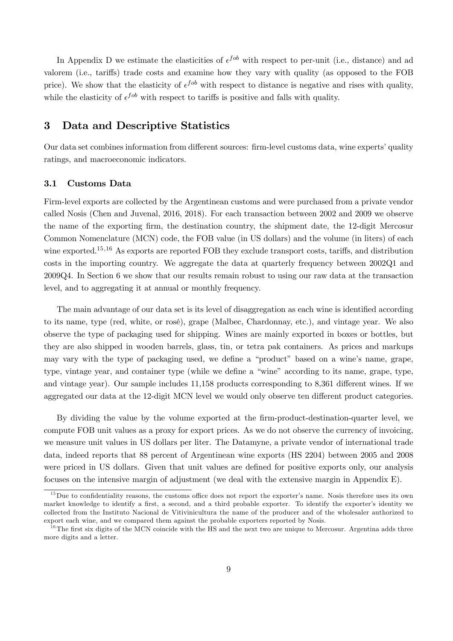In Appendix D we estimate the elasticities of  $\epsilon^{fob}$  with respect to per-unit (i.e., distance) and ad valorem (i.e., tariffs) trade costs and examine how they vary with quality (as opposed to the FOB price). We show that the elasticity of  $\epsilon^{fob}$  with respect to distance is negative and rises with quality, while the elasticity of  $\epsilon^{fob}$  with respect to tariffs is positive and falls with quality.

## 3 Data and Descriptive Statistics

Our data set combines information from different sources: firm-level customs data, wine experts' quality ratings, and macroeconomic indicators.

#### 3.1 Customs Data

Firm-level exports are collected by the Argentinean customs and were purchased from a private vendor called Nosis (Chen and Juvenal, 2016, 2018). For each transaction between 2002 and 2009 we observe the name of the exporting firm, the destination country, the shipment date, the 12-digit Mercosur Common Nomenclature (MCN) code, the FOB value (in US dollars) and the volume (in liters) of each wine exported.<sup>15,16</sup> As exports are reported FOB they exclude transport costs, tariffs, and distribution costs in the importing country. We aggregate the data at quarterly frequency between 2002Q1 and 2009Q4. In Section 6 we show that our results remain robust to using our raw data at the transaction level, and to aggregating it at annual or monthly frequency.

The main advantage of our data set is its level of disaggregation as each wine is identified according to its name, type (red, white, or rosé), grape (Malbec, Chardonnay, etc.), and vintage year. We also observe the type of packaging used for shipping. Wines are mainly exported in boxes or bottles, but they are also shipped in wooden barrels, glass, tin, or tetra pak containers. As prices and markups may vary with the type of packaging used, we define a "product" based on a wine's name, grape, type, vintage year, and container type (while we define a "wine" according to its name, grape, type, and vintage year). Our sample includes  $11,158$  products corresponding to  $8,361$  different wines. If we aggregated our data at the 12-digit MCN level we would only observe ten different product categories.

By dividing the value by the volume exported at the firm-product-destination-quarter level, we compute FOB unit values as a proxy for export prices. As we do not observe the currency of invoicing, we measure unit values in US dollars per liter. The Datamyne, a private vendor of international trade data, indeed reports that 88 percent of Argentinean wine exports (HS 2204) between 2005 and 2008 were priced in US dollars. Given that unit values are defined for positive exports only, our analysis focuses on the intensive margin of adjustment (we deal with the extensive margin in Appendix E).

 $15$ Due to confidentiality reasons, the customs office does not report the exporter's name. Nosis therefore uses its own market knowledge to identify a first, a second, and a third probable exporter. To identify the exporter's identity we collected from the Instituto Nacional de Vitivinicultura the name of the producer and of the wholesaler authorized to export each wine, and we compared them against the probable exporters reported by Nosis.

 $16$ The first six digits of the MCN coincide with the HS and the next two are unique to Mercosur. Argentina adds three more digits and a letter.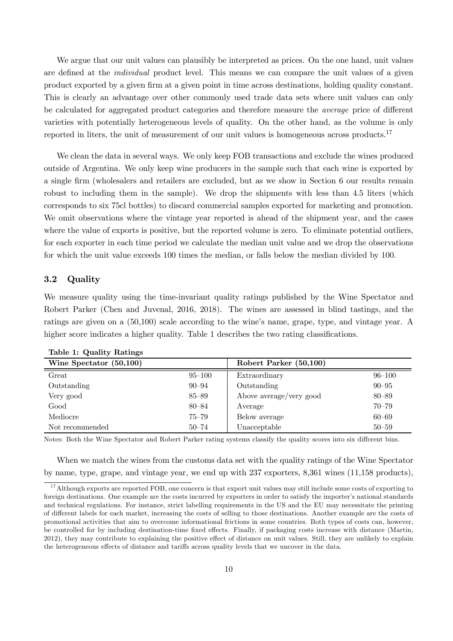We argue that our unit values can plausibly be interpreted as prices. On the one hand, unit values are defined at the *individual* product level. This means we can compare the unit values of a given product exported by a given firm at a given point in time across destinations, holding quality constant. This is clearly an advantage over other commonly used trade data sets where unit values can only be calculated for aggregated product categories and therefore measure the *average* price of different varieties with potentially heterogeneous levels of quality. On the other hand, as the volume is only reported in liters, the unit of measurement of our unit values is homogeneous across products.<sup>17</sup>

We clean the data in several ways. We only keep FOB transactions and exclude the wines produced outside of Argentina. We only keep wine producers in the sample such that each wine is exported by a single firm (wholesalers and retailers are excluded, but as we show in Section 6 our results remain robust to including them in the sample). We drop the shipments with less than 4.5 liters (which corresponds to six 75cl bottles) to discard commercial samples exported for marketing and promotion. We omit observations where the vintage year reported is ahead of the shipment year, and the cases where the value of exports is positive, but the reported volume is zero. To eliminate potential outliers, for each exporter in each time period we calculate the median unit value and we drop the observations for which the unit value exceeds 100 times the median, or falls below the median divided by 100.

### 3.2 Quality

We measure quality using the time-invariant quality ratings published by the Wine Spectator and Robert Parker (Chen and Juvenal, 2016, 2018). The wines are assessed in blind tastings, and the ratings are given on a (50,100) scale according to the wine's name, grape, type, and vintage year. A higher score indicates a higher quality. Table 1 describes the two rating classifications.

| Wine Spectator (50,100) |            | Robert Parker (50,100)  |            |
|-------------------------|------------|-------------------------|------------|
| Great                   | $95 - 100$ | Extraordinary           | $96 - 100$ |
| Outstanding             | $90 - 94$  | Outstanding             | $90 - 95$  |
| Very good               | 85–89      | Above average/very good | $80 - 89$  |
| $\operatorname{Good}$   | $80 - 84$  | Average                 | $70 - 79$  |
| Mediocre                | 75–79      | Below average           | $60 - 69$  |
| Not recommended         | $50 - 74$  | Unacceptable            | $50 - 59$  |

Table 1: Quality Ratings

Notes: Both the Wine Spectator and Robert Parker rating systems classify the quality scores into six different bins.

When we match the wines from the customs data set with the quality ratings of the Wine Spectator by name, type, grape, and vintage year, we end up with 237 exporters, 8,361 wines (11,158 products),

<sup>&</sup>lt;sup>17</sup> Although exports are reported FOB, one concern is that export unit values may still include some costs of exporting to foreign destinations. One example are the costs incurred by exporters in order to satisfy the importer's national standards and technical regulations. For instance, strict labelling requirements in the US and the EU may necessitate the printing of different labels for each market, increasing the costs of selling to those destinations. Another example are the costs of promotional activities that aim to overcome informational frictions in some countries. Both types of costs can, however, be controlled for by including destination-time fixed effects. Finally, if packaging costs increase with distance (Martin,  $2012$ ), they may contribute to explaining the positive effect of distance on unit values. Still, they are unlikely to explain the heterogeneous effects of distance and tariffs across quality levels that we uncover in the data.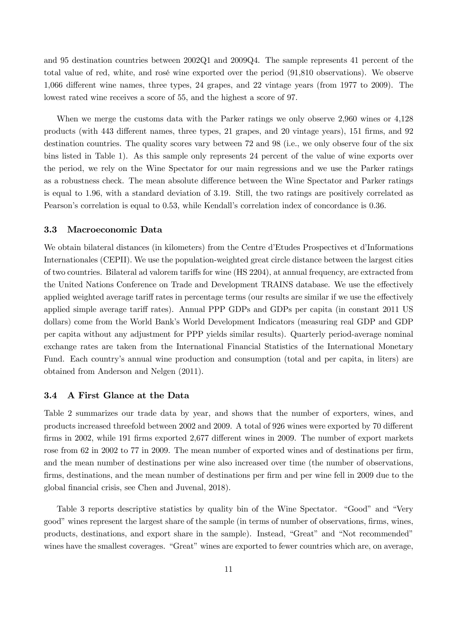and 95 destination countries between 2002Q1 and 2009Q4. The sample represents 41 percent of the total value of red, white, and rosé wine exported over the period (91,810 observations). We observe 1,066 different wine names, three types, 24 grapes, and 22 vintage years (from 1977 to 2009). The lowest rated wine receives a score of 55, and the highest a score of 97.

When we merge the customs data with the Parker ratings we only observe 2,960 wines or 4,128 products (with 443 different names, three types, 21 grapes, and 20 vintage years), 151 firms, and 92 destination countries. The quality scores vary between 72 and 98 (i.e., we only observe four of the six bins listed in Table 1). As this sample only represents 24 percent of the value of wine exports over the period, we rely on the Wine Spectator for our main regressions and we use the Parker ratings as a robustness check. The mean absolute difference between the Wine Spectator and Parker ratings is equal to 1.96, with a standard deviation of 3.19. Still, the two ratings are positively correlated as Pearson's correlation is equal to 0.53, while Kendall's correlation index of concordance is 0.36.

#### 3.3 Macroeconomic Data

We obtain bilateral distances (in kilometers) from the Centre d'Etudes Prospectives et d'Informations Internationales (CEPII). We use the population-weighted great circle distance between the largest cities of two countries. Bilateral ad valorem tariffs for wine (HS 2204), at annual frequency, are extracted from the United Nations Conference on Trade and Development TRAINS database. We use the effectively applied weighted average tariff rates in percentage terms (our results are similar if we use the effectively applied simple average tariff rates). Annual PPP GDPs and GDPs per capita (in constant 2011 US dollars) come from the World Bank's World Development Indicators (measuring real GDP and GDP per capita without any adjustment for PPP yields similar results). Quarterly period-average nominal exchange rates are taken from the International Financial Statistics of the International Monetary Fund. Each country's annual wine production and consumption (total and per capita, in liters) are obtained from Anderson and Nelgen (2011).

#### 3.4 A First Glance at the Data

Table 2 summarizes our trade data by year, and shows that the number of exporters, wines, and products increased threefold between 2002 and 2009. A total of 926 wines were exported by 70 different firms in 2002, while 191 firms exported 2,677 different wines in 2009. The number of export markets rose from 62 in 2002 to 77 in 2009. The mean number of exported wines and of destinations per firm, and the mean number of destinations per wine also increased over time (the number of observations, firms, destinations, and the mean number of destinations per firm and per wine fell in 2009 due to the global financial crisis, see Chen and Juvenal, 2018).

Table 3 reports descriptive statistics by quality bin of the Wine Spectator. "Good" and "Very good" wines represent the largest share of the sample (in terms of number of observations, firms, wines, products, destinations, and export share in the sample). Instead, "Great" and "Not recommended" wines have the smallest coverages. "Great" wines are exported to fewer countries which are, on average,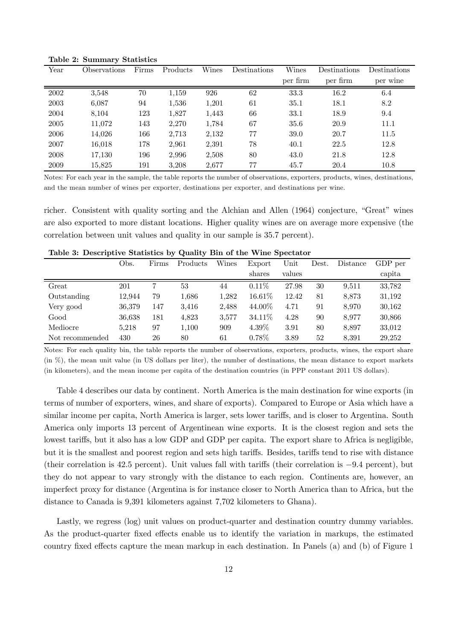| Year | <b>Observations</b> | Firms | Products | Wines | Destinations | Wines    | Destinations | Destinations |
|------|---------------------|-------|----------|-------|--------------|----------|--------------|--------------|
|      |                     |       |          |       |              | per firm | per firm     | per wine     |
| 2002 | 3,548               | 70    | 1,159    | 926   | 62           | 33.3     | 16.2         | 6.4          |
| 2003 | 6,087               | 94    | 1,536    | 1,201 | 61           | 35.1     | 18.1         | 8.2          |
| 2004 | 8,104               | 123   | 1,827    | 1,443 | 66           | 33.1     | 18.9         | 9.4          |
| 2005 | 11,072              | 143   | 2,270    | 1,784 | 67           | 35.6     | 20.9         | 11.1         |
| 2006 | 14,026              | 166   | 2,713    | 2,132 | 77           | 39.0     | 20.7         | 11.5         |
| 2007 | 16,018              | 178   | 2,961    | 2,391 | 78           | 40.1     | 22.5         | 12.8         |
| 2008 | 17,130              | 196   | 2,996    | 2,508 | 80           | 43.0     | 21.8         | 12.8         |
| 2009 | 15.825              | 191   | 3,208    | 2.677 | 77           | 45.7     | 20.4         | 10.8         |

Table 2: Summary Statistics

Notes: For each year in the sample, the table reports the number of observations, exporters, products, wines, destinations, and the mean number of wines per exporter, destinations per exporter, and destinations per wine.

richer. Consistent with quality sorting and the Alchian and Allen (1964) conjecture, "Great" wines are also exported to more distant locations. Higher quality wines are on average more expensive (the correlation between unit values and quality in our sample is 35.7 percent).

|                 | Obs.   | Firms | Products | Wines | Export   | Unit   | Dest. | Distance | GDP per |
|-----------------|--------|-------|----------|-------|----------|--------|-------|----------|---------|
|                 |        |       |          |       | shares   | values |       |          | capita  |
| Great           | 201    |       | 53       | 44    | $0.11\%$ | 27.98  | 30    | 9.511    | 33,782  |
| Outstanding     | 12.944 | 79    | 1,686    | 1,282 | 16.61\%  | 12.42  | 81    | 8.873    | 31,192  |
| Very good       | 36,379 | 147   | 3,416    | 2,488 | 44.00%   | 4.71   | 91    | 8.970    | 30,162  |
| Good            | 36,638 | 181   | 4,823    | 3.577 | 34.11\%  | 4.28   | 90    | 8.977    | 30,866  |
| Mediocre        | 5.218  | 97    | 1,100    | 909   | $4.39\%$ | 3.91   | 80    | 8.897    | 33,012  |
| Not recommended | 430    | 26    | 80       | 61    | $0.78\%$ | 3.89   | 52    | 8.391    | 29,252  |

Table 3: Descriptive Statistics by Quality Bin of the Wine Spectator

Notes: For each quality bin, the table reports the number of observations, exporters, products, wines, the export share (in %), the mean unit value (in US dollars per liter), the number of destinations, the mean distance to export markets (in kilometers), and the mean income per capita of the destination countries (in PPP constant 2011 US dollars).

Table 4 describes our data by continent. North America is the main destination for wine exports (in terms of number of exporters, wines, and share of exports). Compared to Europe or Asia which have a similar income per capita, North America is larger, sets lower tariffs, and is closer to Argentina. South America only imports 13 percent of Argentinean wine exports. It is the closest region and sets the lowest tariffs, but it also has a low GDP and GDP per capita. The export share to Africa is negligible, but it is the smallest and poorest region and sets high tariffs. Besides, tariffs tend to rise with distance (their correlation is  $42.5$  percent). Unit values fall with tariffs (their correlation is  $-9.4$  percent), but they do not appear to vary strongly with the distance to each region. Continents are, however, an imperfect proxy for distance (Argentina is for instance closer to North America than to Africa, but the distance to Canada is 9,391 kilometers against 7,702 kilometers to Ghana).

Lastly, we regress (log) unit values on product-quarter and destination country dummy variables. As the product-quarter fixed effects enable us to identify the variation in markups, the estimated country fixed effects capture the mean markup in each destination. In Panels (a) and (b) of Figure 1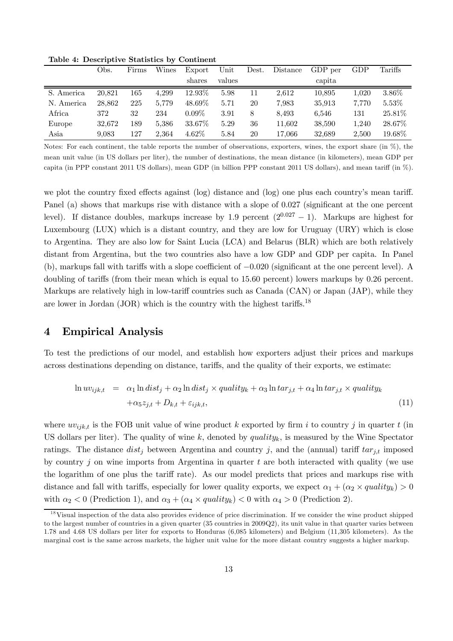|            | Obs.   | Firms | Wines | Export   | Unit   | Dest. | Distance | GDP per | GDP   | Tariffs   |
|------------|--------|-------|-------|----------|--------|-------|----------|---------|-------|-----------|
|            |        |       |       | shares   | values |       |          | capita  |       |           |
| S. America | 20.821 | 165   | 4.299 | 12.93%   | 5.98   | 11    | 2.612    | 10.895  | 1.020 | 3.86%     |
| N. America | 28.862 | 225   | 5.779 | 48.69%   | 5.71   | 20    | 7.983    | 35.913  | 7.770 | $5.53\%$  |
| Africa     | 372    | 32    | 234   | $0.09\%$ | 3.91   | 8     | 8.493    | 6.546   | 131   | $25.81\%$ |
| Europe     | 32.672 | 189   | 5.386 | 33.67\%  | 5.29   | 36    | 11.602   | 38.590  | 1,240 | 28.67%    |
| Asia       | 9.083  | 127   | 2.364 | $4.62\%$ | 5.84   | 20    | 17.066   | 32.689  | 2.500 | 19.68%    |

Table 4: Descriptive Statistics by Continent

Notes: For each continent, the table reports the number of observations, exporters, wines, the export share (in %), the mean unit value (in US dollars per liter), the number of destinations, the mean distance (in kilometers), mean GDP per capita (in PPP constant 2011 US dollars), mean GDP (in billion PPP constant 2011 US dollars), and mean tariff (in  $\%$ ).

we plot the country fixed effects against (log) distance and (log) one plus each country's mean tariff. Panel (a) shows that markups rise with distance with a slope of 0.027 (significant at the one percent level). If distance doubles, markups increase by 1.9 percent  $(2^{0.027} - 1)$ . Markups are highest for Luxembourg (LUX) which is a distant country, and they are low for Uruguay (URY) which is close to Argentina. They are also low for Saint Lucia (LCA) and Belarus (BLR) which are both relatively distant from Argentina, but the two countries also have a low GDP and GDP per capita. In Panel (b), markups fall with tariffs with a slope coefficient of  $-0.020$  (significant at the one percent level). A doubling of tariffs (from their mean which is equal to  $15.60$  percent) lowers markups by  $0.26$  percent. Markups are relatively high in low-tariff countries such as Canada (CAN) or Japan (JAP), while they are lower in Jordan (JOR) which is the country with the highest tariffs.<sup>18</sup>

## 4 Empirical Analysis

To test the predictions of our model, and establish how exporters adjust their prices and markups across destinations depending on distance, tariffs, and the quality of their exports, we estimate:

$$
\ln uv_{ijk,t} = \alpha_1 \ln dist_j + \alpha_2 \ln dist_j \times quality_k + \alpha_3 \ln tar_{j,t} + \alpha_4 \ln tar_{j,t} \times quality_k + \alpha_5 z_{j,t} + D_{k,t} + \varepsilon_{ijk,t},
$$
\n(11)

where  $uv_{ijk,t}$  is the FOB unit value of wine product k exported by firm i to country j in quarter t (in US dollars per liter). The quality of wine k, denoted by quality<sub>k</sub>, is measured by the Wine Spectator ratings. The distance  $dist_j$  between Argentina and country j, and the (annual) tariff  $tar_{j,t}$  imposed by country  $j$  on wine imports from Argentina in quarter t are both interacted with quality (we use the logarithm of one plus the tariff rate). As our model predicts that prices and markups rise with distance and fall with tariffs, especially for lower quality exports, we expect  $\alpha_1 + (\alpha_2 \times quality_k) > 0$ with  $\alpha_2 < 0$  (Prediction 1), and  $\alpha_3 + (\alpha_4 \times quality_k) < 0$  with  $\alpha_4 > 0$  (Prediction 2).

<sup>&</sup>lt;sup>18</sup>Visual inspection of the data also provides evidence of price discrimination. If we consider the wine product shipped to the largest number of countries in a given quarter (35 countries in 2009Q2), its unit value in that quarter varies between 1.78 and 4.68 US dollars per liter for exports to Honduras (6,085 kilometers) and Belgium (11,305 kilometers). As the marginal cost is the same across markets, the higher unit value for the more distant country suggests a higher markup.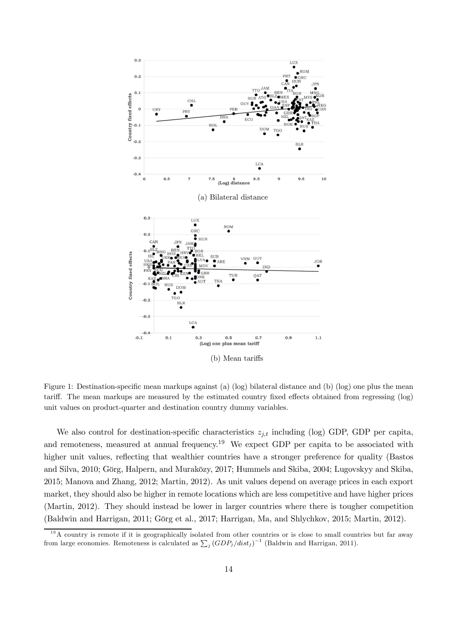

Figure 1: Destination-specific mean markups against (a) (log) bilateral distance and (b) (log) one plus the mean tariff. The mean markups are measured by the estimated country fixed effects obtained from regressing (log) unit values on product-quarter and destination country dummy variables.

We also control for destination-specific characteristics  $z_{j,t}$  including (log) GDP, GDP per capita, and remoteness, measured at annual frequency.<sup>19</sup> We expect GDP per capita to be associated with higher unit values, reflecting that wealthier countries have a stronger preference for quality (Bastos and Silva, 2010; Görg, Halpern, and Muraközy, 2017; Hummels and Skiba, 2004; Lugovskyy and Skiba, 2015; Manova and Zhang, 2012; Martin, 2012). As unit values depend on average prices in each export market, they should also be higher in remote locations which are less competitive and have higher prices (Martin, 2012). They should instead be lower in larger countries where there is tougher competition (Baldwin and Harrigan, 2011; Görg et al., 2017; Harrigan, Ma, and Shlychkov, 2015; Martin, 2012).

<sup>&</sup>lt;sup>19</sup>A country is remote if it is geographically isolated from other countries or is close to small countries but far away from large economies. Remoteness is calculated as  $\sum_{j} (GDP_j/dist_j)^{-1}$  (Baldwin and Harrigan, 2011).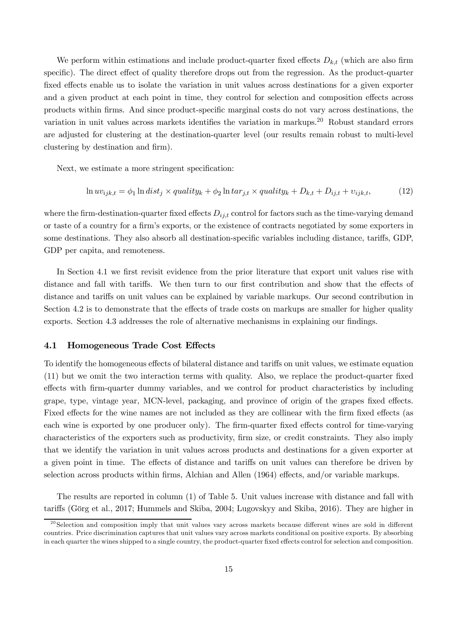We perform within estimations and include product-quarter fixed effects  $D_{k,t}$  (which are also firm specific). The direct effect of quality therefore drops out from the regression. As the product-quarter fixed effects enable us to isolate the variation in unit values across destinations for a given exporter and a given product at each point in time, they control for selection and composition effects across products within firms. And since product-specific marginal costs do not vary across destinations, the variation in unit values across markets identifies the variation in markups.<sup>20</sup> Robust standard errors are adjusted for clustering at the destination-quarter level (our results remain robust to multi-level clustering by destination and firm).

Next, we estimate a more stringent specification:

$$
\ln uv_{ijk,t} = \phi_1 \ln dist_j \times quality_k + \phi_2 \ln tar_{j,t} \times quality_k + D_{k,t} + D_{ij,t} + v_{ijk,t},\tag{12}
$$

where the firm-destination-quarter fixed effects  $D_{ij,t}$  control for factors such as the time-varying demand or taste of a country for a firm's exports, or the existence of contracts negotiated by some exporters in some destinations. They also absorb all destination-specific variables including distance, tariffs, GDP, GDP per capita, and remoteness.

In Section 4.1 we first revisit evidence from the prior literature that export unit values rise with distance and fall with tariffs. We then turn to our first contribution and show that the effects of distance and tariffs on unit values can be explained by variable markups. Our second contribution in Section 4.2 is to demonstrate that the effects of trade costs on markups are smaller for higher quality  $\alpha$  exports. Section 4.3 addresses the role of alternative mechanisms in explaining our findings.

#### 4.1 Homogeneous Trade Cost Effects

To identify the homogeneous effects of bilateral distance and tariffs on unit values, we estimate equation  $(11)$  but we omit the two interaction terms with quality. Also, we replace the product-quarter fixed effects with firm-quarter dummy variables, and we control for product characteristics by including grape, type, vintage year, MCN-level, packaging, and province of origin of the grapes fixed effects. Fixed effects for the wine names are not included as they are collinear with the firm fixed effects (as each wine is exported by one producer only). The firm-quarter fixed effects control for time-varying characteristics of the exporters such as productivity, firm size, or credit constraints. They also imply that we identify the variation in unit values across products and destinations for a given exporter at a given point in time. The effects of distance and tariffs on unit values can therefore be driven by selection across products within firms, Alchian and Allen  $(1964)$  effects, and/or variable markups.

The results are reported in column (1) of Table 5. Unit values increase with distance and fall with tariffs (Görg et al., 2017; Hummels and Skiba, 2004; Lugovskyy and Skiba, 2016). They are higher in

 $20$ Selection and composition imply that unit values vary across markets because different wines are sold in different countries. Price discrimination captures that unit values vary across markets conditional on positive exports. By absorbing in each quarter the wines shipped to a single country, the product-quarter fixed effects control for selection and composition.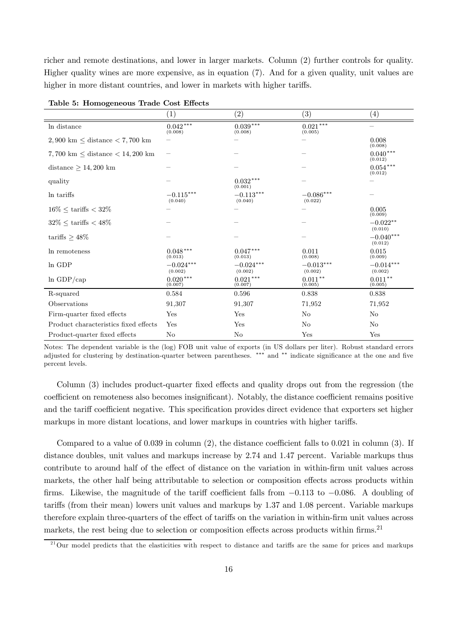richer and remote destinations, and lower in larger markets. Column (2) further controls for quality. Higher quality wines are more expensive, as in equation (7). And for a given quality, unit values are higher in more distant countries, and lower in markets with higher tariffs.

|                                                              | (1)                    | $\left( 2\right)$      | (3)                        | $\left(4\right)$       |
|--------------------------------------------------------------|------------------------|------------------------|----------------------------|------------------------|
| In distance                                                  | $0.042***$<br>(0.008)  | $0.039***$<br>(0.008)  | $0.021^{\,***}$<br>(0.005) | $\qquad \qquad -$      |
| $2,900 \text{ km } \leq \text{distance } < 7,700 \text{ km}$ |                        |                        |                            | 0.008<br>(0.008)       |
| 7,700 km $\leq$ distance $<$ 14,200 km                       |                        |                        |                            | $0.040***$<br>(0.012)  |
| distance $\geq 14,200$ km                                    |                        |                        |                            | $0.054***$<br>(0.012)  |
| quality                                                      |                        | $0.032***$<br>(0.001)  |                            |                        |
| In tariffs                                                   | $-0.115***$<br>(0.040) | $-0.113***$<br>(0.040) | $-0.086***$<br>(0.022)     |                        |
| $16\% \leq \text{tariffs} < 32\%$                            |                        |                        |                            | 0.005<br>(0.009)       |
| $32\% \leq \text{tariffs} < 48\%$                            |                        |                        |                            | $-0.022**$<br>(0.010)  |
| tariffs $\geq 48\%$                                          |                        |                        |                            | $-0.040***$<br>(0.012) |
| In remoteness                                                | $0.048***$<br>(0.013)  | $0.047***$<br>(0.013)  | 0.011<br>(0.008)           | 0.015<br>(0.009)       |
| In GDP                                                       | $-0.024***$<br>(0.002) | $-0.024***$<br>(0.002) | $-0.013***$<br>(0.002)     | $-0.014***$<br>(0.002) |
| $ln$ GDP/cap                                                 | $0.020***$<br>(0.007)  | $0.021***$<br>(0.007)  | $0.011**$<br>(0.005)       | $0.011**$<br>(0.005)   |
| R-squared                                                    | 0.584                  | 0.596                  | 0.838                      | 0.838                  |
| Observations                                                 | 91,307                 | 91,307                 | 71,952                     | 71,952                 |
| Firm-quarter fixed effects                                   | Yes                    | Yes                    | N <sub>o</sub>             | No                     |
| Product characteristics fixed effects                        | Yes                    | Yes                    | N <sub>o</sub>             | No                     |
| Product-quarter fixed effects                                | No                     | No                     | Yes                        | Yes                    |

Table 5: Homogeneous Trade Cost Effects

Notes: The dependent variable is the (log) FOB unit value of exports (in US dollars per liter). Robust standard errors adjusted for clustering by destination-quarter between parentheses. \*\*\* and \*\* indicate significance at the one and five percent levels.

Column (3) includes product-quarter fixed effects and quality drops out from the regression (the coefficient on remoteness also becomes insignificant). Notably, the distance coefficient remains positive and the tariff coefficient negative. This specification provides direct evidence that exporters set higher markups in more distant locations, and lower markups in countries with higher tariffs.

Compared to a value of  $0.039$  in column  $(2)$ , the distance coefficient falls to  $0.021$  in column  $(3)$ . If distance doubles, unit values and markups increase by 2.74 and 1.47 percent. Variable markups thus contribute to around half of the effect of distance on the variation in within-firm unit values across markets, the other half being attributable to selection or composition effects across products within firms. Likewise, the magnitude of the tariff coefficient falls from  $-0.113$  to  $-0.086$ . A doubling of tariffs (from their mean) lowers unit values and markups by 1.37 and 1.08 percent. Variable markups therefore explain three-quarters of the effect of tariffs on the variation in within-firm unit values across markets, the rest being due to selection or composition effects across products within firms.<sup>21</sup>

 $^{21}$ Our model predicts that the elasticities with respect to distance and tariffs are the same for prices and markups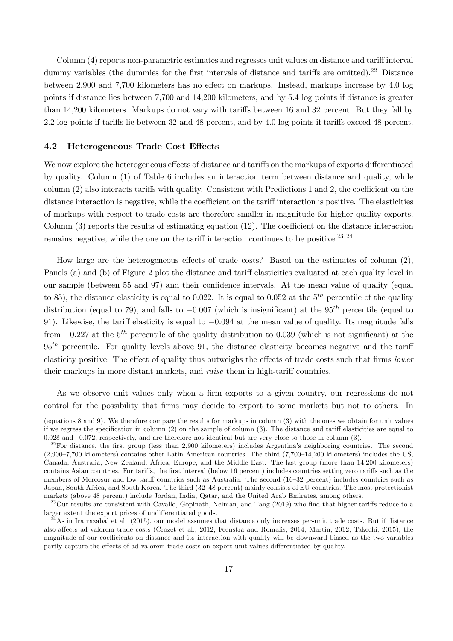Column (4) reports non-parametric estimates and regresses unit values on distance and tariff interval dummy variables (the dummies for the first intervals of distance and tariffs are omitted).<sup>22</sup> Distance between 2,900 and 7,700 kilometers has no effect on markups. Instead, markups increase by 4.0 log points if distance lies between 7,700 and 14,200 kilometers, and by 5.4 log points if distance is greater than 14,200 kilometers. Markups do not vary with tariffs between 16 and 32 percent. But they fall by  $2.2 \log$  points if tariffs lie between 32 and 48 percent, and by 4.0 log points if tariffs exceed 48 percent.

#### 4.2 Heterogeneous Trade Cost Effects

We now explore the heterogeneous effects of distance and tariffs on the markups of exports differentiated by quality. Column (1) of Table 6 includes an interaction term between distance and quality, while column  $(2)$  also interacts tariffs with quality. Consistent with Predictions 1 and 2, the coefficient on the distance interaction is negative, while the coefficient on the tariff interaction is positive. The elasticities of markups with respect to trade costs are therefore smaller in magnitude for higher quality exports. Column  $(3)$  reports the results of estimating equation  $(12)$ . The coefficient on the distance interaction remains negative, while the one on the tariff interaction continues to be positive. $^{23,24}$ 

How large are the heterogeneous effects of trade costs? Based on the estimates of column  $(2)$ , Panels (a) and (b) of Figure 2 plot the distance and tariff elasticities evaluated at each quality level in our sample (between 55 and 97) and their confidence intervals. At the mean value of quality (equal to 85), the distance elasticity is equal to 0.022. It is equal to 0.052 at the  $5<sup>th</sup>$  percentile of the quality distribution (equal to 79), and falls to  $-0.007$  (which is insignificant) at the 95<sup>th</sup> percentile (equal to 91). Likewise, the tariff elasticity is equal to  $-0.094$  at the mean value of quality. Its magnitude falls from  $-0.227$  at the  $5<sup>th</sup>$  percentile of the quality distribution to 0.039 (which is not significant) at the  $95<sup>th</sup>$  percentile. For quality levels above 91, the distance elasticity becomes negative and the tariff elasticity positive. The effect of quality thus outweighs the effects of trade costs such that firms *lower* their markups in more distant markets, and *raise* them in high-tariff countries.

As we observe unit values only when a firm exports to a given country, our regressions do not control for the possibility that firms may decide to export to some markets but not to others. In

<sup>(</sup>equations 8 and 9). We therefore compare the results for markups in column (3) with the ones we obtain for unit values if we regress the specification in column  $(2)$  on the sample of column  $(3)$ . The distance and tariff elasticities are equal to 0.028 and –0.072, respectively, and are therefore not identical but are very close to those in column (3).

 $22$  For distance, the first group (less than 2,900 kilometers) includes Argentina's neighboring countries. The second (2,900–7,700 kilometers) contains other Latin American countries. The third (7,700–14,200 kilometers) includes the US, Canada, Australia, New Zealand, Africa, Europe, and the Middle East. The last group (more than 14,200 kilometers) contains Asian countries. For tariffs, the first interval (below 16 percent) includes countries setting zero tariffs such as the members of Mercosur and low-tariff countries such as Australia. The second (16–32 percent) includes countries such as Japan, South Africa, and South Korea. The third (32–48 percent) mainly consists of EU countries. The most protectionist markets (above 48 percent) include Jordan, India, Qatar, and the United Arab Emirates, among others.

 $^{23}$ Our results are consistent with Cavallo, Gopinath, Neiman, and Tang (2019) who find that higher tariffs reduce to a larger extent the export prices of undifferentiated goods.

 $^{24}$ As in Irarrazabal et al. (2015), our model assumes that distance only increases per-unit trade costs. But if distance also affects ad valorem trade costs (Crozet et al., 2012; Feenstra and Romalis, 2014; Martin, 2012; Takechi, 2015), the magnitude of our coefficients on distance and its interaction with quality will be downward biased as the two variables partly capture the effects of ad valorem trade costs on export unit values differentiated by quality.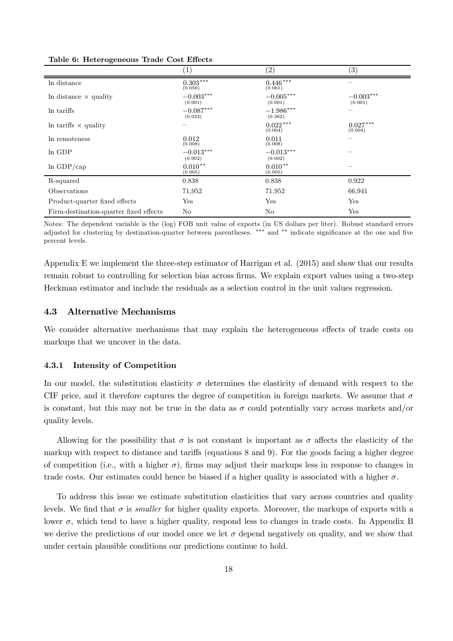|                                        | $\left  \right $       | $\left( 2\right)$      | $\left( 3\right)$      |
|----------------------------------------|------------------------|------------------------|------------------------|
| In distance                            | $0.303***$<br>(0.056)  | $0.446***$<br>(0.061)  |                        |
| In distance $\times$ quality           | $-0.003***$<br>(0.001) | $-0.005***$<br>(0.001) | $-0.003***$<br>(0.001) |
| In tariffs                             | $-0.087***$<br>(0.022) | $-1.986***$<br>(0.362) |                        |
| In tariffs $\times$ quality            |                        | $0.022***$<br>(0.004)  | $0.027***$<br>(0.004)  |
| In remoteness                          | 0.012<br>(0.008)       | 0.011<br>(0.008)       |                        |
| In GDP                                 | $-0.013***$<br>(0.002) | $-0.013***$<br>(0.002) |                        |
| $ln$ GDP/cap                           | $0.010**$<br>(0.005)   | $0.010**$<br>(0.005)   |                        |
| R-squared                              | 0.838                  | 0.838                  | 0.922                  |
| Observations                           | 71,952                 | 71,952                 | 66,941                 |
| Product-quarter fixed effects          | Yes                    | Yes                    | Yes                    |
| Firm-destination-quarter fixed effects | No                     | No                     | Yes                    |

Table 6: Heterogeneous Trade Cost Effects

Notes: The dependent variable is the (log) FOB unit value of exports (in US dollars per liter). Robust standard errors adjusted for clustering by destination-quarter between parentheses. \*\*\* and \*\* indicate significance at the one and five percent levels.

Appendix E we implement the three-step estimator of Harrigan et al. (2015) and show that our results remain robust to controlling for selection bias across firms. We explain export values using a two-step Heckman estimator and include the residuals as a selection control in the unit values regression.

### 4.3 Alternative Mechanisms

We consider alternative mechanisms that may explain the heterogeneous effects of trade costs on markups that we uncover in the data.

#### 4.3.1 Intensity of Competition

In our model, the substitution elasticity  $\sigma$  determines the elasticity of demand with respect to the CIF price, and it therefore captures the degree of competition in foreign markets. We assume that  $\sigma$ is constant, but this may not be true in the data as  $\sigma$  could potentially vary across markets and/or quality levels.

Allowing for the possibility that  $\sigma$  is not constant is important as  $\sigma$  affects the elasticity of the markup with respect to distance and tariffs (equations  $8$  and  $9$ ). For the goods facing a higher degree of competition (i.e., with a higher  $\sigma$ ), firms may adjust their markups less in response to changes in trade costs. Our estimates could hence be biased if a higher quality is associated with a higher  $\sigma$ .

To address this issue we estimate substitution elasticities that vary across countries and quality levels. We find that  $\sigma$  is *smaller* for higher quality exports. Moreover, the markups of exports with a lower  $\sigma$ , which tend to have a higher quality, respond less to changes in trade costs. In Appendix B we derive the predictions of our model once we let  $\sigma$  depend negatively on quality, and we show that under certain plausible conditions our predictions continue to hold.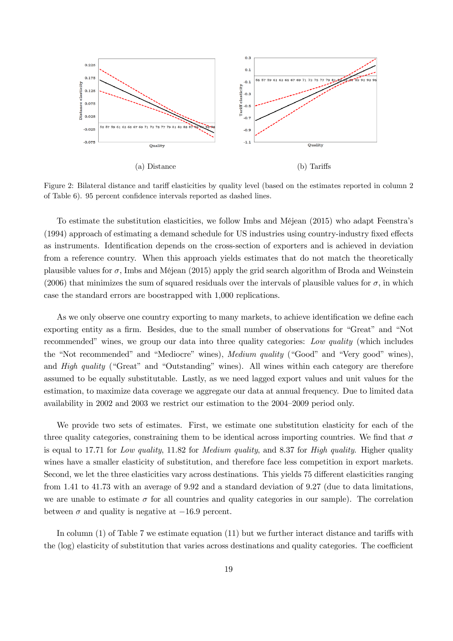

Figure 2: Bilateral distance and tariff elasticities by quality level (based on the estimates reported in column 2 of Table 6). 95 percent confidence intervals reported as dashed lines.

To estimate the substitution elasticities, we follow Imbs and Méjean (2015) who adapt Feenstra's  $(1994)$  approach of estimating a demand schedule for US industries using country-industry fixed effects as instruments. Identification depends on the cross-section of exporters and is achieved in deviation from a reference country. When this approach yields estimates that do not match the theoretically plausible values for  $\sigma$ , Imbs and Méjean (2015) apply the grid search algorithm of Broda and Weinstein (2006) that minimizes the sum of squared residuals over the intervals of plausible values for  $\sigma$ , in which case the standard errors are boostrapped with 1,000 replications.

As we only observe one country exporting to many markets, to achieve identification we define each exporting entity as a firm. Besides, due to the small number of observations for "Great" and "Not recommended" wines, we group our data into three quality categories: *Low quality* (which includes the "Not recommended" and "Mediocre" wines), *Medium quality* ("Good" and "Very good" wines), and *High quality* ("Great" and "Outstanding" wines). All wines within each category are therefore assumed to be equally substitutable. Lastly, as we need lagged export values and unit values for the estimation, to maximize data coverage we aggregate our data at annual frequency. Due to limited data availability in 2002 and 2003 we restrict our estimation to the 2004–2009 period only.

We provide two sets of estimates. First, we estimate one substitution elasticity for each of the three quality categories, constraining them to be identical across importing countries. We find that  $\sigma$ is equal to 17.71 for *Low quality*, 11.82 for *Medium quality*, and 8.37 for *High quality*. Higher quality wines have a smaller elasticity of substitution, and therefore face less competition in export markets. Second, we let the three elasticities vary across destinations. This yields 75 different elasticities ranging from 1.41 to 41.73 with an average of 9.92 and a standard deviation of 9.27 (due to data limitations, we are unable to estimate  $\sigma$  for all countries and quality categories in our sample). The correlation between  $\sigma$  and quality is negative at  $-16.9$  percent.

In column  $(1)$  of Table 7 we estimate equation  $(11)$  but we further interact distance and tariffs with the (log) elasticity of substitution that varies across destinations and quality categories. The coefficient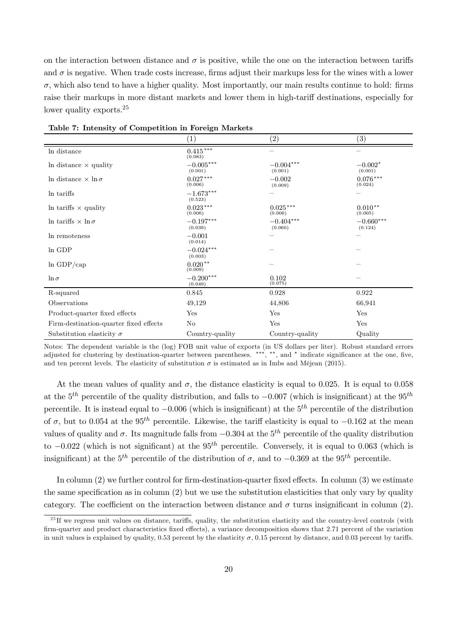on the interaction between distance and  $\sigma$  is positive, while the one on the interaction between tariffs and  $\sigma$  is negative. When trade costs increase, firms adjust their markups less for the wines with a lower  $\sigma$ , which also tend to have a higher quality. Most importantly, our main results continue to hold: firms raise their markups in more distant markets and lower them in high-tariff destinations, especially for lower quality exports.<sup>25</sup>

| Table 1. Intensity of Competition in Foreign Ividi Rets |                            |                        |                        |  |  |  |  |
|---------------------------------------------------------|----------------------------|------------------------|------------------------|--|--|--|--|
|                                                         | $\left( 1\right)$          | $\left( 2\right)$      | (3)                    |  |  |  |  |
| In distance                                             | $0.415^{\,***}$<br>(0.083) |                        |                        |  |  |  |  |
| In distance $\times$ quality                            | $-0.005***$<br>(0.001)     | $-0.004***$<br>(0.001) | $-0.002*$<br>(0.001)   |  |  |  |  |
| In distance $\times \ln \sigma$                         | $0.027***$<br>(0.006)      | $-0.002$<br>(0.009)    | $0.076***$<br>(0.024)  |  |  |  |  |
| In tariffs                                              | $-1.673***$<br>(0.523)     |                        |                        |  |  |  |  |
| In tariffs $\times$ quality                             | $0.023***$<br>(0.006)      | $0.025***$<br>(0.006)  | $0.010**$<br>(0.005)   |  |  |  |  |
| In tariffs $\times$ ln $\sigma$                         | $-0.197***$<br>(0.039)     | $-0.404***$<br>(0.060) | $-0.660***$<br>(0.124) |  |  |  |  |
| In remoteness                                           | $-0.001$<br>(0.014)        |                        |                        |  |  |  |  |
| In GDP                                                  | $-0.024***$<br>(0.003)     |                        |                        |  |  |  |  |
| $ln$ GDP/cap                                            | $0.020**$<br>(0.009)       |                        |                        |  |  |  |  |
| $\ln \sigma$                                            | $-0.200***$<br>(0.049)     | 0.102<br>(0.075)       |                        |  |  |  |  |
| R-squared                                               | 0.845                      | 0.928                  | 0.922                  |  |  |  |  |
| Observations                                            | 49,129                     | 44,806                 | 66,941                 |  |  |  |  |
| Product-quarter fixed effects                           | Yes                        | Yes                    | Yes                    |  |  |  |  |
| Firm-destination-quarter fixed effects                  | N <sub>o</sub>             | Yes                    | Yes                    |  |  |  |  |
| Substitution elasticity $\sigma$                        | Country-quality            | Country-quality        | Quality                |  |  |  |  |

| Table 7: Intensity of Competition in Foreign Markets |  |  |  |  |  |  |
|------------------------------------------------------|--|--|--|--|--|--|
|------------------------------------------------------|--|--|--|--|--|--|

Notes: The dependent variable is the (log) FOB unit value of exports (in US dollars per liter). Robust standard errors adjusted for clustering by destination-quarter between parentheses. \*\*\*, \*\*, and \* indicate significance at the one, five, and ten percent levels. The elasticity of substitution  $\sigma$  is estimated as in Imbs and Méjean (2015).

At the mean values of quality and  $\sigma$ , the distance elasticity is equal to 0.025. It is equal to 0.058 at the  $5<sup>th</sup>$  percentile of the quality distribution, and falls to  $-0.007$  (which is insignificant) at the  $95<sup>th</sup>$ percentile. It is instead equal to  $-0.006$  (which is insignificant) at the  $5<sup>th</sup>$  percentile of the distribution of  $\sigma$ , but to 0.054 at the 95<sup>th</sup> percentile. Likewise, the tariff elasticity is equal to  $-0.162$  at the mean values of quality and  $\sigma$ . Its magnitude falls from  $-0.304$  at the  $5<sup>th</sup>$  percentile of the quality distribution to  $-0.022$  (which is not significant) at the 95<sup>th</sup> percentile. Conversely, it is equal to 0.063 (which is insignificant) at the  $5^{th}$  percentile of the distribution of  $\sigma$ , and to  $-0.369$  at the  $95^{th}$  percentile.

In column  $(2)$  we further control for firm-destination-quarter fixed effects. In column  $(3)$  we estimate the same specification as in column  $(2)$  but we use the substitution elasticities that only vary by quality category. The coefficient on the interaction between distance and  $\sigma$  turns insignificant in column (2).

 $^{25}$  If we regress unit values on distance, tariffs, quality, the substitution elasticity and the country-level controls (with firm-quarter and product characteristics fixed effects), a variance decomposition shows that 2.71 percent of the variation in unit values is explained by quality, 0.53 percent by the elasticity  $\sigma$ , 0.15 percent by distance, and 0.03 percent by tariffs.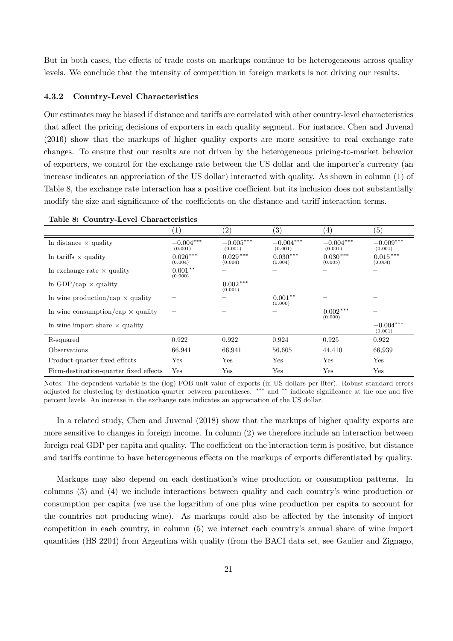But in both cases, the effects of trade costs on markups continue to be heterogeneous across quality levels. We conclude that the intensity of competition in foreign markets is not driving our results.

#### 4.3.2 Country-Level Characteristics

Our estimates may be biased if distance and tariffs are correlated with other country-level characteristics that affect the pricing decisions of exporters in each quality segment. For instance, Chen and Juvenal (2016) show that the markups of higher quality exports are more sensitive to real exchange rate changes. To ensure that our results are not driven by the heterogeneous pricing-to-market behavior of exporters, we control for the exchange rate between the US dollar and the importer's currency (an increase indicates an appreciation of the US dollar) interacted with quality. As shown in column (1) of Table 8, the exchange rate interaction has a positive coefficient but its inclusion does not substantially modify the size and significance of the coefficients on the distance and tariff interaction terms.

|                                          | $\left\lceil 1\right\rceil$ | $\left( 2\right)$      | $\left( 3\right)$      | (4)                    | $\left( 5\right)$      |
|------------------------------------------|-----------------------------|------------------------|------------------------|------------------------|------------------------|
| In distance $\times$ quality             | $-0.004***$<br>(0.001)      | $-0.005***$<br>(0.001) | $-0.004***$<br>(0.001) | $-0.004***$<br>(0.001) | $-0.009***$<br>(0.001) |
| In tariffs $\times$ quality              | $0.026***$<br>(0.004)       | $0.029***$<br>(0.004)  | $0.030***$<br>(0.004)  | $0.030***$<br>(0.005)  | $0.015***$<br>(0.004)  |
| In exchange rate $\times$ quality        | $0.001**$<br>(0.000)        |                        |                        |                        |                        |
| $\ln$ GDP/cap $\times$ quality           |                             | $0.002***$<br>(0.001)  |                        |                        |                        |
| In wine production/cap $\times$ quality  |                             |                        | $0.001**$<br>(0.000)   |                        |                        |
| In wine consumption/cap $\times$ quality |                             |                        |                        | $0.002***$<br>(0.000)  |                        |
| In wine import share $\times$ quality    |                             |                        |                        |                        | $-0.004***$<br>(0.001) |
| R-squared                                | 0.922                       | 0.922                  | 0.924                  | 0.925                  | 0.922                  |
| Observations                             | 66,941                      | 66,941                 | 56,605                 | 44,410                 | 66,939                 |
| Product-quarter fixed effects            | Yes                         | Yes                    | Yes                    | Yes                    | Yes                    |
| Firm-destination-quarter fixed effects   | Yes                         | Yes                    | Yes                    | Yes                    | Yes                    |

Table 8: Country-Level Characteristics

Notes: The dependent variable is the (log) FOB unit value of exports (in US dollars per liter). Robust standard errors adjusted for clustering by destination-quarter between parentheses. \*\*\* and \*\* indicate significance at the one and five percent levels. An increase in the exchange rate indicates an appreciation of the US dollar.

In a related study, Chen and Juvenal (2018) show that the markups of higher quality exports are more sensitive to changes in foreign income. In column (2) we therefore include an interaction between foreign real GDP per capita and quality. The coefficient on the interaction term is positive, but distance and tariffs continue to have heterogeneous effects on the markups of exports differentiated by quality.

Markups may also depend on each destination's wine production or consumption patterns. In columns (3) and (4) we include interactions between quality and each country's wine production or consumption per capita (we use the logarithm of one plus wine production per capita to account for the countries not producing wine). As markups could also be affected by the intensity of import competition in each country, in column (5) we interact each country's annual share of wine import quantities (HS 2204) from Argentina with quality (from the BACI data set, see Gaulier and Zignago,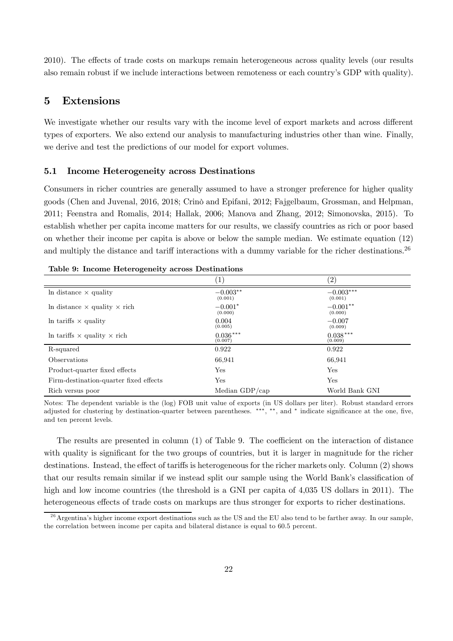2010). The effects of trade costs on markups remain heterogeneous across quality levels (our results also remain robust if we include interactions between remoteness or each country's GDP with quality).

## 5 Extensions

We investigate whether our results vary with the income level of export markets and across different types of exporters. We also extend our analysis to manufacturing industries other than wine. Finally, we derive and test the predictions of our model for export volumes.

#### 5.1 Income Heterogeneity across Destinations

Consumers in richer countries are generally assumed to have a stronger preference for higher quality goods (Chen and Juvenal, 2016, 2018; Crinò and Epifani, 2012; Fajgelbaum, Grossman, and Helpman, 2011; Feenstra and Romalis, 2014; Hallak, 2006; Manova and Zhang, 2012; Simonovska, 2015). To establish whether per capita income matters for our results, we classify countries as rich or poor based on whether their income per capita is above or below the sample median. We estimate equation (12) and multiply the distance and tariff interactions with a dummy variable for the richer destinations.<sup>26</sup>

|                                            |                       | (2)                    |
|--------------------------------------------|-----------------------|------------------------|
| In distance $\times$ quality               | $-0.003**$<br>(0.001) | $-0.003***$<br>(0.001) |
| In distance $\times$ quality $\times$ rich | $-0.001*$<br>(0.000)  | $-0.001**$<br>(0.000)  |
| In tariffs $\times$ quality                | 0.004<br>(0.005)      | $-0.007$<br>(0.009)    |
| In tariffs $\times$ quality $\times$ rich  | $0.036***$<br>(0.007) | $0.038***$<br>(0.009)  |
| R-squared                                  | 0.922                 | 0.922                  |
| Observations                               | 66,941                | 66,941                 |
| Product-quarter fixed effects              | Yes                   | Yes                    |
| Firm-destination-quarter fixed effects     | Yes                   | Yes                    |
| Rich versus poor                           | Median GDP/cap        | World Bank GNI         |

Table 9: Income Heterogeneity across Destinations

Notes: The dependent variable is the (log) FOB unit value of exports (in US dollars per liter). Robust standard errors adjusted for clustering by destination-quarter between parentheses. \*\*\*, \*\*, and \* indicate significance at the one, five, and ten percent levels.

The results are presented in column  $(1)$  of Table 9. The coefficient on the interaction of distance with quality is significant for the two groups of countries, but it is larger in magnitude for the richer destinations. Instead, the effect of tariffs is heterogeneous for the richer markets only. Column (2) shows that our results remain similar if we instead split our sample using the World Bank's classification of high and low income countries (the threshold is a GNI per capita of 4,035 US dollars in 2011). The heterogeneous effects of trade costs on markups are thus stronger for exports to richer destinations.

 $^{26}$  Argentina's higher income export destinations such as the US and the EU also tend to be farther away. In our sample, the correlation between income per capita and bilateral distance is equal to 60.5 percent.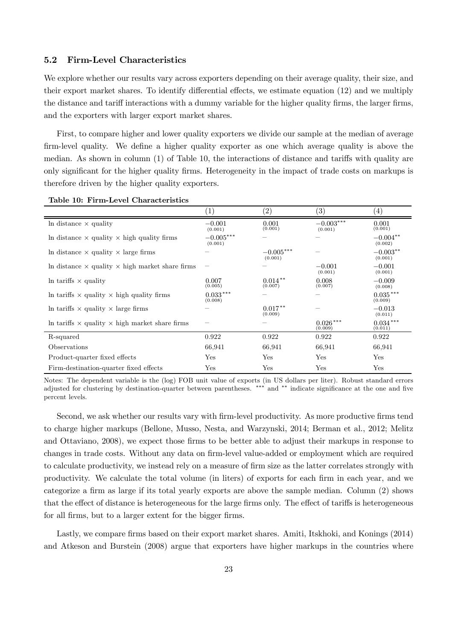### 5.2 Firm-Level Characteristics

We explore whether our results vary across exporters depending on their average quality, their size, and their export market shares. To identify differential effects, we estimate equation (12) and we multiply the distance and tariff interactions with a dummy variable for the higher quality firms, the larger firms, and the exporters with larger export market shares.

First, to compare higher and lower quality exporters we divide our sample at the median of average firm-level quality. We define a higher quality exporter as one which average quality is above the median. As shown in column  $(1)$  of Table 10, the interactions of distance and tariffs with quality are only significant for the higher quality firms. Heterogeneity in the impact of trade costs on markups is therefore driven by the higher quality exporters.

| Table To. Then-Devel Onaracteristics                          |                        |                        |                        |                       |
|---------------------------------------------------------------|------------------------|------------------------|------------------------|-----------------------|
|                                                               | $\left(1\right)$       | $\left( 2\right)$      | $\left( 3\right)$      | $\left( 4\right)$     |
| In distance $\times$ quality                                  | $-0.001$<br>(0.001)    | 0.001<br>(0.001)       | $-0.003***$<br>(0.001) | 0.001<br>(0.001)      |
| In distance $\times$ quality $\times$ high quality firms      | $-0.005***$<br>(0.001) |                        |                        | $-0.004**$<br>(0.002) |
| In distance $\times$ quality $\times$ large firms             |                        | $-0.005***$<br>(0.001) |                        | $-0.003**$<br>(0.001) |
| In distance $\times$ quality $\times$ high market share firms |                        |                        | $-0.001$<br>(0.001)    | $-0.001$<br>(0.001)   |
| In tariffs $\times$ quality                                   | 0.007<br>(0.005)       | $0.014***$<br>(0.007)  | 0.008<br>(0.007)       | $-0.009$<br>(0.008)   |
| In tariffs $\times$ quality $\times$ high quality firms       | $0.033***$<br>(0.008)  |                        |                        | $0.035***$<br>(0.009) |
| In tariffs $\times$ quality $\times$ large firms              |                        | $0.017**$<br>(0.009)   |                        | $-0.013$<br>(0.011)   |
| In tariffs $\times$ quality $\times$ high market share firms  |                        |                        | $0.026***$<br>(0.009)  | $0.034***$<br>(0.011) |
| R-squared                                                     | 0.922                  | 0.922                  | 0.922                  | 0.922                 |
| Observations                                                  | 66,941                 | 66,941                 | 66,941                 | 66,941                |
| Product-quarter fixed effects                                 | Yes                    | Yes                    | Yes                    | Yes                   |
| Firm-destination-quarter fixed effects                        | Yes                    | Yes                    | Yes                    | Yes                   |

Table 10: Firm-Level Characteristics

Notes: The dependent variable is the (log) FOB unit value of exports (in US dollars per liter). Robust standard errors adjusted for clustering by destination-quarter between parentheses. \*\*\* and \*\* indicate significance at the one and five percent levels.

Second, we ask whether our results vary with firm-level productivity. As more productive firms tend to charge higher markups (Bellone, Musso, Nesta, and Warzynski, 2014; Berman et al., 2012; Melitz and Ottaviano, 2008), we expect those firms to be better able to adjust their markups in response to changes in trade costs. Without any data on firm-level value-added or employment which are required to calculate productivity, we instead rely on a measure of firm size as the latter correlates strongly with productivity. We calculate the total volume (in liters) of exports for each firm in each year, and we categorize a firm as large if its total yearly exports are above the sample median. Column  $(2)$  shows that the effect of distance is heterogeneous for the large firms only. The effect of tariffs is heterogeneous for all firms, but to a larger extent for the bigger firms.

Lastly, we compare firms based on their export market shares. Amiti, Itskhoki, and Konings (2014) and Atkeson and Burstein (2008) argue that exporters have higher markups in the countries where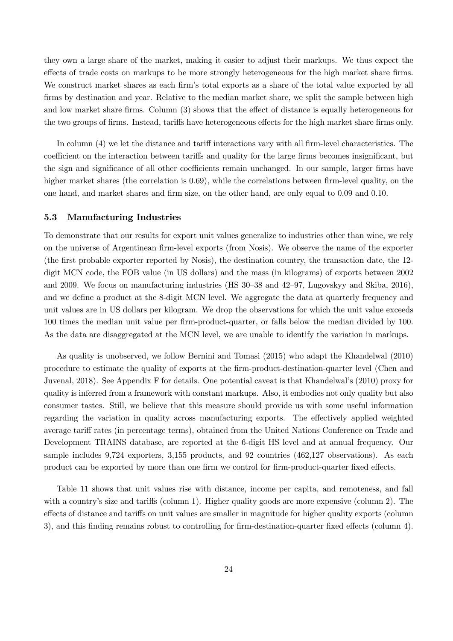they own a large share of the market, making it easier to adjust their markups. We thus expect the effects of trade costs on markups to be more strongly heterogeneous for the high market share firms. We construct market shares as each firm's total exports as a share of the total value exported by all firms by destination and year. Relative to the median market share, we split the sample between high and low market share firms. Column  $(3)$  shows that the effect of distance is equally heterogeneous for the two groups of firms. Instead, tariffs have heterogeneous effects for the high market share firms only.

In column  $(4)$  we let the distance and tariff interactions vary with all firm-level characteristics. The coefficient on the interaction between tariffs and quality for the large firms becomes insignificant, but the sign and significance of all other coefficients remain unchanged. In our sample, larger firms have higher market shares (the correlation is  $0.69$ ), while the correlations between firm-level quality, on the one hand, and market shares and firm size, on the other hand, are only equal to 0.09 and 0.10.

#### 5.3 Manufacturing Industries

To demonstrate that our results for export unit values generalize to industries other than wine, we rely on the universe of Argentinean firm-level exports (from Nosis). We observe the name of the exporter (the first probable exporter reported by Nosis), the destination country, the transaction date, the  $12$ digit MCN code, the FOB value (in US dollars) and the mass (in kilograms) of exports between 2002 and 2009. We focus on manufacturing industries (HS 30–38 and 42–97, Lugovskyy and Skiba, 2016), and we define a product at the 8-digit MCN level. We aggregate the data at quarterly frequency and unit values are in US dollars per kilogram. We drop the observations for which the unit value exceeds 100 times the median unit value per firm-product-quarter, or falls below the median divided by 100. As the data are disaggregated at the MCN level, we are unable to identify the variation in markups.

As quality is unobserved, we follow Bernini and Tomasi (2015) who adapt the Khandelwal (2010) procedure to estimate the quality of exports at the firm-product-destination-quarter level (Chen and Juvenal, 2018). See Appendix F for details. One potential caveat is that Khandelwal's (2010) proxy for quality is inferred from a framework with constant markups. Also, it embodies not only quality but also consumer tastes. Still, we believe that this measure should provide us with some useful information regarding the variation in quality across manufacturing exports. The effectively applied weighted average tariff rates (in percentage terms), obtained from the United Nations Conference on Trade and Development TRAINS database, are reported at the 6-digit HS level and at annual frequency. Our sample includes 9,724 exporters, 3,155 products, and 92 countries (462,127 observations). As each product can be exported by more than one firm we control for firm-product-quarter fixed effects.

Table 11 shows that unit values rise with distance, income per capita, and remoteness, and fall with a country's size and tariffs (column 1). Higher quality goods are more expensive (column 2). The effects of distance and tariffs on unit values are smaller in magnitude for higher quality exports (column 3), and this finding remains robust to controlling for firm-destination-quarter fixed effects (column 4).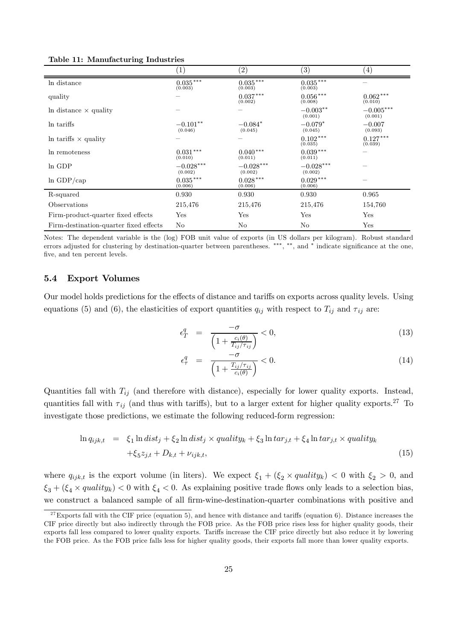|                                        | $\left(1\right)$        | $\rm(2)$                   | $\left( 3\right)$      | $\left( 4\right)$      |
|----------------------------------------|-------------------------|----------------------------|------------------------|------------------------|
| In distance                            | $0.035***$<br>(0.003)   | $0.035^{\,***}$<br>(0.003) | $0.035***$<br>(0.003)  |                        |
| quality                                |                         | $0.037***$<br>(0.002)      | $0.056***$<br>(0.008)  | $0.062***$<br>(0.010)  |
| In distance $\times$ quality           |                         |                            | $-0.003**$<br>(0.001)  | $-0.005***$<br>(0.001) |
| In tariffs                             | $-0.101**$<br>(0.046)   | $-0.084*$<br>(0.045)       | $-0.079*$<br>(0.045)   | $-0.007$<br>(0.093)    |
| In tariffs $\times$ quality            |                         |                            | $0.102***$<br>(0.035)  | $0.127***$<br>(0.039)  |
| In remoteness                          | $0.031\,***$<br>(0.010) | $0.040***$<br>(0.011)      | $0.039***$<br>(0.011)  |                        |
| ln GDP                                 | $-0.028***$<br>(0.002)  | $-0.028***$<br>(0.002)     | $-0.028***$<br>(0.002) |                        |
| $ln$ GDP/cap                           | $0.035***$<br>(0.006)   | $0.028***$<br>(0.006)      | $0.029***$<br>(0.006)  |                        |
| R-squared                              | 0.930                   | 0.930                      | 0.930                  | 0.965                  |
| Observations                           | 215,476                 | 215,476                    | 215,476                | 154,760                |
| Firm-product-quarter fixed effects     | Yes                     | Yes                        | Yes                    | Yes                    |
| Firm-destination-quarter fixed effects | No                      | N <sub>o</sub>             | No.                    | Yes                    |

Table 11: Manufacturing Industries

Notes: The dependent variable is the (log) FOB unit value of exports (in US dollars per kilogram). Robust standard errors adjusted for clustering by destination-quarter between parentheses. \*\*\*, \*\*, and \* indicate significance at the one, five, and ten percent levels.

### 5.4 Export Volumes

Our model holds predictions for the effects of distance and tariffs on exports across quality levels. Using equations (5) and (6), the elasticities of export quantities  $q_{ij}$  with respect to  $T_{ij}$  and  $\tau_{ij}$  are:

$$
\epsilon_T^q = \frac{-\sigma}{\left(1 + \frac{c_i(\theta)}{T_{ij}/\tau_{ij}}\right)} < 0,\tag{13}
$$

$$
\epsilon_{\tau}^{q} = \frac{-\sigma}{\left(1 + \frac{T_{ij}/\tau_{ij}}{c_{i}(\theta)}\right)} < 0.
$$
\n(14)

Quantities fall with  $T_{ij}$  (and therefore with distance), especially for lower quality exports. Instead, quantities fall with  $\tau_{ij}$  (and thus with tariffs), but to a larger extent for higher quality exports.<sup>27</sup> To investigate those predictions, we estimate the following reduced-form regression:

$$
\ln q_{ijk,t} = \xi_1 \ln dist_j + \xi_2 \ln dist_j \times quality_k + \xi_3 \ln tar_{j,t} + \xi_4 \ln tar_{j,t} \times quality_k
$$
  
 
$$
+ \xi_5 z_{j,t} + D_{k,t} + \nu_{ijk,t}, \tag{15}
$$

where  $q_{ijk,t}$  is the export volume (in liters). We expect  $\xi_1 + (\xi_2 \times quality_k) < 0$  with  $\xi_2 > 0$ , and  $\xi_3 + (\xi_4 \times quality_k) < 0$  with  $\xi_4 < 0$ . As explaining positive trade flows only leads to a selection bias, we construct a balanced sample of all firm-wine-destination-quarter combinations with positive and

<sup>&</sup>lt;sup>27</sup>Exports fall with the CIF price (equation 5), and hence with distance and tariffs (equation 6). Distance increases the CIF price directly but also indirectly through the FOB price. As the FOB price rises less for higher quality goods, their exports fall less compared to lower quality exports. Tariffs increase the CIF price directly but also reduce it by lowering the FOB price. As the FOB price falls less for higher quality goods, their exports fall more than lower quality exports.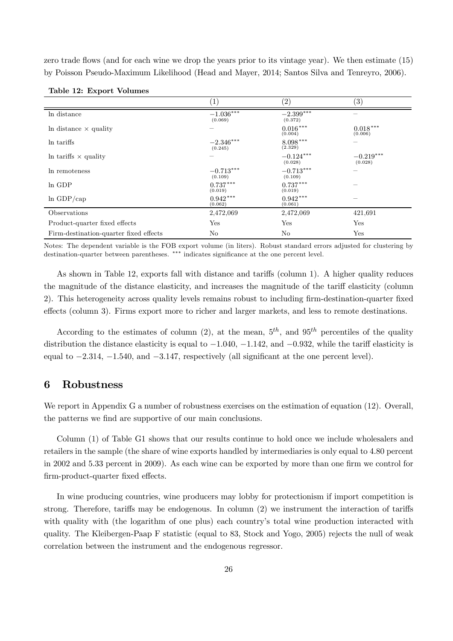zero trade flows (and for each wine we drop the years prior to its vintage year). We then estimate (15) by Poisson Pseudo-Maximum Likelihood (Head and Mayer, 2014; Santos Silva and Tenreyro, 2006).

|                                        | $\left( 1\right)$      | (2)                    | $\left( 3\right)$      |
|----------------------------------------|------------------------|------------------------|------------------------|
| In distance                            | $-1.036***$<br>(0.069) | $-2.399***$<br>(0.372) |                        |
| In distance $\times$ quality           |                        | $0.016***$<br>(0.004)  | $0.018***$<br>(0.006)  |
| In tariffs                             | $-2.346***$<br>(0.245) | $8.098***$<br>(2.329)  |                        |
| In tariffs $\times$ quality            |                        | $-0.124***$<br>(0.028) | $-0.219***$<br>(0.028) |
| In remoteness                          | $-0.713***$<br>(0.109) | $-0.713***$<br>(0.109) |                        |
| In GDP                                 | $0.737***$<br>(0.019)  | $0.737***$<br>(0.019)  |                        |
| $ln$ GDP/cap                           | $0.942***$<br>(0.062)  | $0.942***$<br>(0.061)  |                        |
| Observations                           | 2,472,069              | 2,472,069              | 421,691                |
| Product-quarter fixed effects          | Yes                    | Yes                    | Yes                    |
| Firm-destination-quarter fixed effects | No                     | N <sub>o</sub>         | Yes                    |

|  |  |  | Table 12: Export Volumes |
|--|--|--|--------------------------|
|--|--|--|--------------------------|

Notes: The dependent variable is the FOB export volume (in liters). Robust standard errors adjusted for clustering by destination-quarter between parentheses. \*\*\* indicates significance at the one percent level.

As shown in Table 12, exports fall with distance and tariffs (column 1). A higher quality reduces the magnitude of the distance elasticity, and increases the magnitude of the tariff elasticity (column 2). This heterogeneity across quality levels remains robust to including firm-destination-quarter fixed effects (column 3). Firms export more to richer and larger markets, and less to remote destinations.

According to the estimates of column (2), at the mean,  $5<sup>th</sup>$ , and  $95<sup>th</sup>$  percentiles of the quality distribution the distance elasticity is equal to  $-1.040$ ,  $-1.142$ , and  $-0.932$ , while the tariff elasticity is equal to  $-2.314$ ,  $-1.540$ , and  $-3.147$ , respectively (all significant at the one percent level).

## 6 Robustness

We report in Appendix G a number of robustness exercises on the estimation of equation (12). Overall, the patterns we find are supportive of our main conclusions.

Column (1) of Table G1 shows that our results continue to hold once we include wholesalers and retailers in the sample (the share of wine exports handled by intermediaries is only equal to 4.80 percent in 2002 and 5.33 percent in 2009). As each wine can be exported by more than one firm we control for firm-product-quarter fixed effects.

In wine producing countries, wine producers may lobby for protectionism if import competition is strong. Therefore, tariffs may be endogenous. In column  $(2)$  we instrument the interaction of tariffs with quality with (the logarithm of one plus) each country's total wine production interacted with quality. The Kleibergen-Paap F statistic (equal to 83, Stock and Yogo, 2005) rejects the null of weak correlation between the instrument and the endogenous regressor.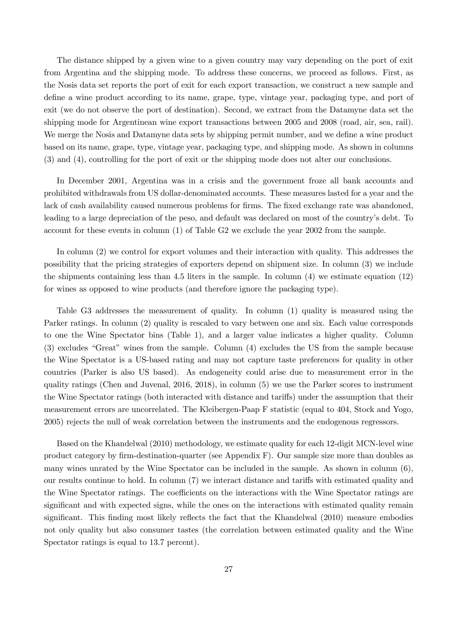The distance shipped by a given wine to a given country may vary depending on the port of exit from Argentina and the shipping mode. To address these concerns, we proceed as follows. First, as the Nosis data set reports the port of exit for each export transaction, we construct a new sample and define a wine product according to its name, grape, type, vintage year, packaging type, and port of exit (we do not observe the port of destination). Second, we extract from the Datamyne data set the shipping mode for Argentinean wine export transactions between 2005 and 2008 (road, air, sea, rail). We merge the Nosis and Datamyne data sets by shipping permit number, and we define a wine product based on its name, grape, type, vintage year, packaging type, and shipping mode. As shown in columns (3) and (4), controlling for the port of exit or the shipping mode does not alter our conclusions.

In December 2001, Argentina was in a crisis and the government froze all bank accounts and prohibited withdrawals from US dollar-denominated accounts. These measures lasted for a year and the lack of cash availability caused numerous problems for firms. The fixed exchange rate was abandoned, leading to a large depreciation of the peso, and default was declared on most of the country's debt. To account for these events in column (1) of Table G2 we exclude the year 2002 from the sample.

In column (2) we control for export volumes and their interaction with quality. This addresses the possibility that the pricing strategies of exporters depend on shipment size. In column (3) we include the shipments containing less than 4.5 liters in the sample. In column (4) we estimate equation (12) for wines as opposed to wine products (and therefore ignore the packaging type).

Table G3 addresses the measurement of quality. In column (1) quality is measured using the Parker ratings. In column (2) quality is rescaled to vary between one and six. Each value corresponds to one the Wine Spectator bins (Table 1), and a larger value indicates a higher quality. Column (3) excludes "Great" wines from the sample. Column (4) excludes the US from the sample because the Wine Spectator is a US-based rating and may not capture taste preferences for quality in other countries (Parker is also US based). As endogeneity could arise due to measurement error in the quality ratings (Chen and Juvenal, 2016, 2018), in column (5) we use the Parker scores to instrument the Wine Spectator ratings (both interacted with distance and tariffs) under the assumption that their measurement errors are uncorrelated. The Kleibergen-Paap F statistic (equal to 404, Stock and Yogo, 2005) rejects the null of weak correlation between the instruments and the endogenous regressors.

Based on the Khandelwal (2010) methodology, we estimate quality for each 12-digit MCN-level wine product category by firm-destination-quarter (see Appendix F). Our sample size more than doubles as many wines unrated by the Wine Spectator can be included in the sample. As shown in column (6), our results continue to hold. In column (7) we interact distance and tariffs with estimated quality and the Wine Spectator ratings. The coefficients on the interactions with the Wine Spectator ratings are significant and with expected signs, while the ones on the interactions with estimated quality remain significant. This finding most likely reflects the fact that the Khandelwal (2010) measure embodies not only quality but also consumer tastes (the correlation between estimated quality and the Wine Spectator ratings is equal to 13.7 percent).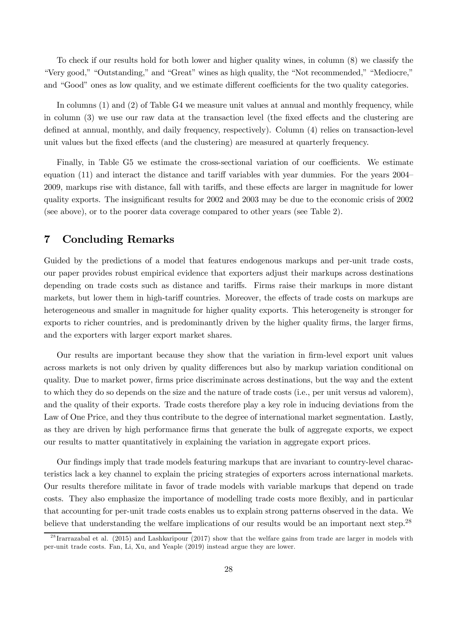To check if our results hold for both lower and higher quality wines, in column (8) we classify the "Very good," "Outstanding," and "Great" wines as high quality, the "Not recommended," "Mediocre," and "Good" ones as low quality, and we estimate different coefficients for the two quality categories.

In columns (1) and (2) of Table G4 we measure unit values at annual and monthly frequency, while in column  $(3)$  we use our raw data at the transaction level (the fixed effects and the clustering are defined at annual, monthly, and daily frequency, respectively). Column (4) relies on transaction-level unit values but the fixed effects (and the clustering) are measured at quarterly frequency.

Finally, in Table G5 we estimate the cross-sectional variation of our coefficients. We estimate equation  $(11)$  and interact the distance and tariff variables with year dummies. For the years  $2004-$ 2009, markups rise with distance, fall with tariffs, and these effects are larger in magnitude for lower quality exports. The insignificant results for 2002 and 2003 may be due to the economic crisis of 2002 (see above), or to the poorer data coverage compared to other years (see Table 2).

## 7 Concluding Remarks

Guided by the predictions of a model that features endogenous markups and per-unit trade costs, our paper provides robust empirical evidence that exporters adjust their markups across destinations depending on trade costs such as distance and tariffs. Firms raise their markups in more distant markets, but lower them in high-tariff countries. Moreover, the effects of trade costs on markups are heterogeneous and smaller in magnitude for higher quality exports. This heterogeneity is stronger for exports to richer countries, and is predominantly driven by the higher quality firms, the larger firms, and the exporters with larger export market shares.

Our results are important because they show that the variation in firm-level export unit values across markets is not only driven by quality differences but also by markup variation conditional on quality. Due to market power, firms price discriminate across destinations, but the way and the extent to which they do so depends on the size and the nature of trade costs (i.e., per unit versus ad valorem), and the quality of their exports. Trade costs therefore play a key role in inducing deviations from the Law of One Price, and they thus contribute to the degree of international market segmentation. Lastly, as they are driven by high performance firms that generate the bulk of aggregate exports, we expect our results to matter quantitatively in explaining the variation in aggregate export prices.

Our findings imply that trade models featuring markups that are invariant to country-level characteristics lack a key channel to explain the pricing strategies of exporters across international markets. Our results therefore militate in favor of trade models with variable markups that depend on trade costs. They also emphasize the importance of modelling trade costs more flexibly, and in particular that accounting for per-unit trade costs enables us to explain strong patterns observed in the data. We believe that understanding the welfare implications of our results would be an important next step.<sup>28</sup>

<sup>&</sup>lt;sup>28</sup> Irarrazabal et al. (2015) and Lashkaripour (2017) show that the welfare gains from trade are larger in models with per-unit trade costs. Fan, Li, Xu, and Yeaple (2019) instead argue they are lower.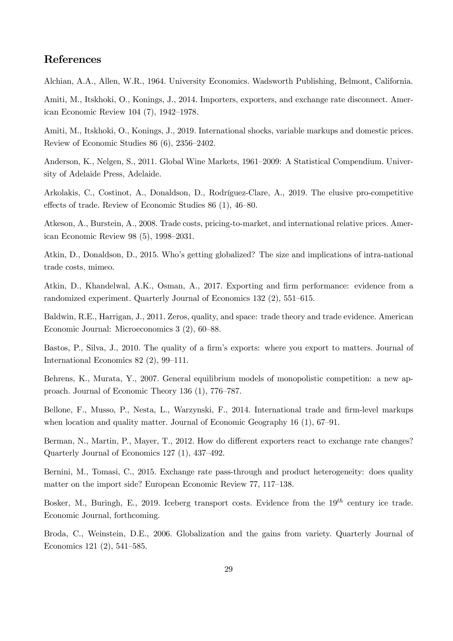## References

Alchian, A.A., Allen, W.R., 1964. University Economics. Wadsworth Publishing, Belmont, California.

Amiti, M., Itskhoki, O., Konings, J., 2014. Importers, exporters, and exchange rate disconnect. American Economic Review 104 (7), 1942–1978.

Amiti, M., Itskhoki, O., Konings, J., 2019. International shocks, variable markups and domestic prices. Review of Economic Studies 86 (6), 2356–2402.

Anderson, K., Nelgen, S., 2011. Global Wine Markets, 1961–2009: A Statistical Compendium. University of Adelaide Press, Adelaide.

Arkolakis, C., Costinot, A., Donaldson, D., Rodríguez-Clare, A., 2019. The elusive pro-competitive effects of trade. Review of Economic Studies 86 (1), 46–80.

Atkeson, A., Burstein, A., 2008. Trade costs, pricing-to-market, and international relative prices. American Economic Review 98 (5), 1998–2031.

Atkin, D., Donaldson, D., 2015. Who's getting globalized? The size and implications of intra-national trade costs, mimeo.

Atkin, D., Khandelwal, A.K., Osman, A., 2017. Exporting and firm performance: evidence from a randomized experiment. Quarterly Journal of Economics 132 (2), 551–615.

Baldwin, R.E., Harrigan, J., 2011. Zeros, quality, and space: trade theory and trade evidence. American Economic Journal: Microeconomics 3 (2), 60–88.

Bastos, P., Silva, J., 2010. The quality of a firm's exports: where you export to matters. Journal of International Economics 82 (2), 99–111.

Behrens, K., Murata, Y., 2007. General equilibrium models of monopolistic competition: a new approach. Journal of Economic Theory 136 (1), 776–787.

Bellone, F., Musso, P., Nesta, L., Warzynski, F., 2014. International trade and firm-level markups when location and quality matter. Journal of Economic Geography 16 (1), 67–91.

Berman, N., Martin, P., Mayer, T., 2012. How do different exporters react to exchange rate changes? Quarterly Journal of Economics 127 (1), 437–492.

Bernini, M., Tomasi, C., 2015. Exchange rate pass-through and product heterogeneity: does quality matter on the import side? European Economic Review 77, 117–138.

Bosker, M., Buringh, E., 2019. Iceberg transport costs. Evidence from the  $19^{th}$  century ice trade. Economic Journal, forthcoming.

Broda, C., Weinstein, D.E., 2006. Globalization and the gains from variety. Quarterly Journal of Economics 121 (2), 541–585.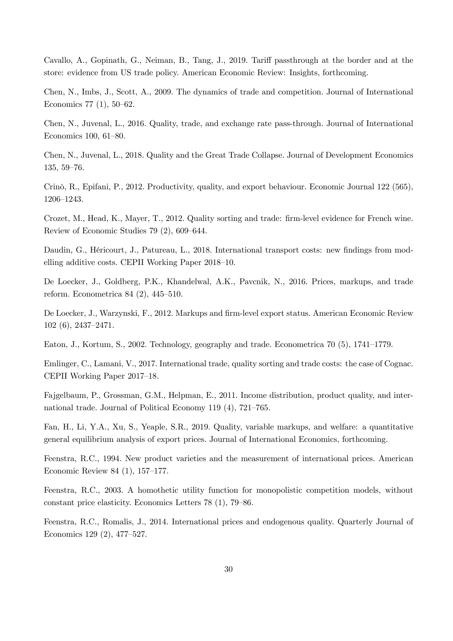Cavallo, A., Gopinath, G., Neiman, B., Tang, J., 2019. Tariff passthrough at the border and at the store: evidence from US trade policy. American Economic Review: Insights, forthcoming.

Chen, N., Imbs, J., Scott, A., 2009. The dynamics of trade and competition. Journal of International Economics 77 (1), 50–62.

Chen, N., Juvenal, L., 2016. Quality, trade, and exchange rate pass-through. Journal of International Economics 100, 61–80.

Chen, N., Juvenal, L., 2018. Quality and the Great Trade Collapse. Journal of Development Economics 135, 59–76.

Crinò, R., Epifani, P., 2012. Productivity, quality, and export behaviour. Economic Journal 122 (565), 1206–1243.

Crozet, M., Head, K., Mayer, T., 2012. Quality sorting and trade: firm-level evidence for French wine. Review of Economic Studies 79 (2), 609–644.

Daudin, G., Héricourt, J., Patureau, L., 2018. International transport costs: new findings from modelling additive costs. CEPII Working Paper 2018–10.

De Loecker, J., Goldberg, P.K., Khandelwal, A.K., Pavcnik, N., 2016. Prices, markups, and trade reform. Econometrica 84 (2), 445–510.

De Loecker, J., Warzynski, F., 2012. Markups and firm-level export status. American Economic Review 102 (6), 2437–2471.

Eaton, J., Kortum, S., 2002. Technology, geography and trade. Econometrica 70 (5), 1741–1779.

Emlinger, C., Lamani, V., 2017. International trade, quality sorting and trade costs: the case of Cognac. CEPII Working Paper 2017–18.

Fajgelbaum, P., Grossman, G.M., Helpman, E., 2011. Income distribution, product quality, and international trade. Journal of Political Economy 119 (4), 721–765.

Fan, H., Li, Y.A., Xu, S., Yeaple, S.R., 2019. Quality, variable markups, and welfare: a quantitative general equilibrium analysis of export prices. Journal of International Economics, forthcoming.

Feenstra, R.C., 1994. New product varieties and the measurement of international prices. American Economic Review 84 (1), 157–177.

Feenstra, R.C., 2003. A homothetic utility function for monopolistic competition models, without constant price elasticity. Economics Letters 78 (1), 79–86.

Feenstra, R.C., Romalis, J., 2014. International prices and endogenous quality. Quarterly Journal of Economics 129 (2), 477–527.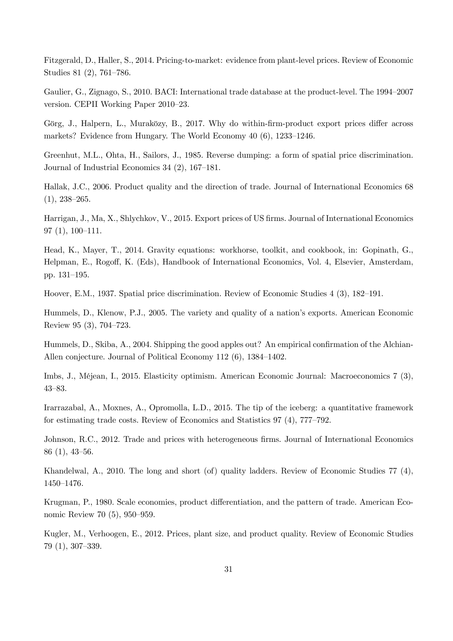Fitzgerald, D., Haller, S., 2014. Pricing-to-market: evidence from plant-level prices. Review of Economic Studies 81 (2), 761–786.

Gaulier, G., Zignago, S., 2010. BACI: International trade database at the product-level. The 1994–2007 version. CEPII Working Paper 2010–23.

Görg, J., Halpern, L., Muraközy, B., 2017. Why do within-firm-product export prices differ across markets? Evidence from Hungary. The World Economy 40 (6), 1233–1246.

Greenhut, M.L., Ohta, H., Sailors, J., 1985. Reverse dumping: a form of spatial price discrimination. Journal of Industrial Economics 34 (2), 167–181.

Hallak, J.C., 2006. Product quality and the direction of trade. Journal of International Economics 68  $(1), 238 - 265.$ 

Harrigan, J., Ma, X., Shlychkov, V., 2015. Export prices of US firms. Journal of International Economics 97 (1), 100–111.

Head, K., Mayer, T., 2014. Gravity equations: workhorse, toolkit, and cookbook, in: Gopinath, G., Helpman, E., Rogoff, K. (Eds), Handbook of International Economics, Vol. 4, Elsevier, Amsterdam, pp. 131–195.

Hoover, E.M., 1937. Spatial price discrimination. Review of Economic Studies 4 (3), 182–191.

Hummels, D., Klenow, P.J., 2005. The variety and quality of a nation's exports. American Economic Review 95 (3), 704–723.

Hummels, D., Skiba, A., 2004. Shipping the good apples out? An empirical confirmation of the Alchian-Allen conjecture. Journal of Political Economy 112 (6), 1384–1402.

Imbs, J., Méjean, I., 2015. Elasticity optimism. American Economic Journal: Macroeconomics 7 (3), 43–83.

Irarrazabal, A., Moxnes, A., Opromolla, L.D., 2015. The tip of the iceberg: a quantitative framework for estimating trade costs. Review of Economics and Statistics 97 (4), 777–792.

Johnson, R.C., 2012. Trade and prices with heterogeneous firms. Journal of International Economics 86 (1), 43–56.

Khandelwal, A., 2010. The long and short (of) quality ladders. Review of Economic Studies 77 (4), 1450–1476.

Krugman, P., 1980. Scale economies, product differentiation, and the pattern of trade. American Economic Review 70 (5), 950–959.

Kugler, M., Verhoogen, E., 2012. Prices, plant size, and product quality. Review of Economic Studies 79 (1), 307–339.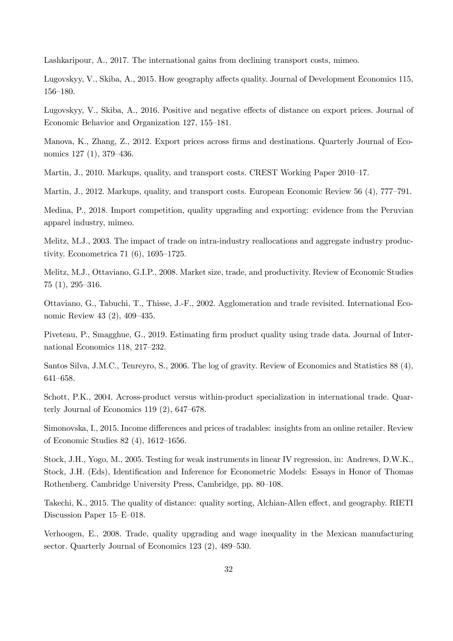Lashkaripour, A., 2017. The international gains from declining transport costs, mimeo.

Lugovskyy, V., Skiba, A., 2015. How geography affects quality. Journal of Development Economics 115, 156–180.

Lugovskyy, V., Skiba, A., 2016. Positive and negative effects of distance on export prices. Journal of Economic Behavior and Organization 127, 155–181.

Manova, K., Zhang, Z., 2012. Export prices across firms and destinations. Quarterly Journal of Economics 127 (1), 379–436.

Martin, J., 2010. Markups, quality, and transport costs. CREST Working Paper 2010–17.

Martin, J., 2012. Markups, quality, and transport costs. European Economic Review 56 (4), 777–791.

Medina, P., 2018. Import competition, quality upgrading and exporting: evidence from the Peruvian apparel industry, mimeo.

Melitz, M.J., 2003. The impact of trade on intra-industry reallocations and aggregate industry productivity. Econometrica 71 (6), 1695–1725.

Melitz, M.J., Ottaviano, G.I.P., 2008. Market size, trade, and productivity. Review of Economic Studies 75 (1), 295–316.

Ottaviano, G., Tabuchi, T., Thisse, J.-F., 2002. Agglomeration and trade revisited. International Economic Review 43 (2), 409–435.

Piveteau, P., Smagghue, G., 2019. Estimating firm product quality using trade data. Journal of International Economics 118, 217–232.

Santos Silva, J.M.C., Tenreyro, S., 2006. The log of gravity. Review of Economics and Statistics 88 (4), 641–658.

Schott, P.K., 2004. Across-product versus within-product specialization in international trade. Quarterly Journal of Economics 119 (2), 647–678.

Simonovska, I., 2015. Income differences and prices of tradables: insights from an online retailer. Review of Economic Studies 82 (4), 1612–1656.

Stock, J.H., Yogo, M., 2005. Testing for weak instruments in linear IV regression, in: Andrews, D.W.K., Stock, J.H. (Eds), Identification and Inference for Econometric Models: Essays in Honor of Thomas Rothenberg. Cambridge University Press, Cambridge, pp. 80–108.

Takechi, K., 2015. The quality of distance: quality sorting, Alchian-Allen effect, and geography. RIETI Discussion Paper 15–E–018.

Verhoogen, E., 2008. Trade, quality upgrading and wage inequality in the Mexican manufacturing sector. Quarterly Journal of Economics 123 (2), 489–530.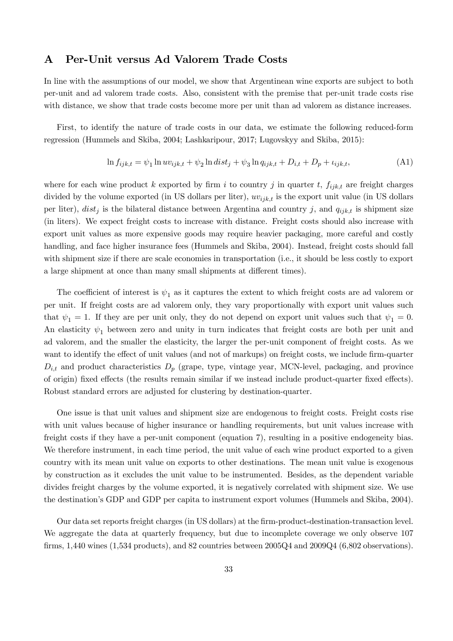## A Per-Unit versus Ad Valorem Trade Costs

In line with the assumptions of our model, we show that Argentinean wine exports are subject to both per-unit and ad valorem trade costs. Also, consistent with the premise that per-unit trade costs rise with distance, we show that trade costs become more per unit than ad valorem as distance increases.

First, to identify the nature of trade costs in our data, we estimate the following reduced-form regression (Hummels and Skiba, 2004; Lashkaripour, 2017; Lugovskyy and Skiba, 2015):

$$
\ln f_{ijk,t} = \psi_1 \ln uv_{ijk,t} + \psi_2 \ln dist_j + \psi_3 \ln q_{ijk,t} + D_{i,t} + D_p + \iota_{ijk,t},
$$
\n(A1)

where for each wine product k exported by firm i to country j in quarter t,  $f_{ijk,t}$  are freight charges divided by the volume exported (in US dollars per liter),  $uv_{ijk,t}$  is the export unit value (in US dollars per liter),  $dist_j$  is the bilateral distance between Argentina and country j, and  $q_{ijk,t}$  is shipment size (in liters). We expect freight costs to increase with distance. Freight costs should also increase with export unit values as more expensive goods may require heavier packaging, more careful and costly handling, and face higher insurance fees (Hummels and Skiba, 2004). Instead, freight costs should fall with shipment size if there are scale economies in transportation (i.e., it should be less costly to export a large shipment at once than many small shipments at different times).

The coefficient of interest is  $\psi_1$  as it captures the extent to which freight costs are ad valorem or per unit. If freight costs are ad valorem only, they vary proportionally with export unit values such that  $\psi_1 = 1$ . If they are per unit only, they do not depend on export unit values such that  $\psi_1 = 0$ . An elasticity  $\psi_1$  between zero and unity in turn indicates that freight costs are both per unit and ad valorem, and the smaller the elasticity, the larger the per-unit component of freight costs. As we want to identify the effect of unit values (and not of markups) on freight costs, we include firm-quarter  $D_{i,t}$  and product characteristics  $D_p$  (grape, type, vintage year, MCN-level, packaging, and province of origin) fixed effects (the results remain similar if we instead include product-quarter fixed effects). Robust standard errors are adjusted for clustering by destination-quarter.

One issue is that unit values and shipment size are endogenous to freight costs. Freight costs rise with unit values because of higher insurance or handling requirements, but unit values increase with freight costs if they have a per-unit component (equation 7), resulting in a positive endogeneity bias. We therefore instrument, in each time period, the unit value of each wine product exported to a given country with its mean unit value on exports to other destinations. The mean unit value is exogenous by construction as it excludes the unit value to be instrumented. Besides, as the dependent variable divides freight charges by the volume exported, it is negatively correlated with shipment size. We use the destination's GDP and GDP per capita to instrument export volumes (Hummels and Skiba, 2004).

Our data set reports freight charges (in US dollars) at the firm-product-destination-transaction level. We aggregate the data at quarterly frequency, but due to incomplete coverage we only observe 107 firms,  $1,440$  wines  $(1,534$  products), and  $82$  countries between  $2005Q4$  and  $2009Q4$   $(6,802$  observations).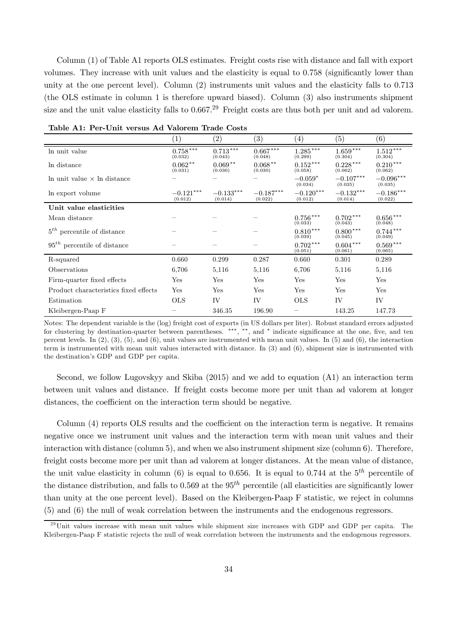Column (1) of Table A1 reports OLS estimates. Freight costs rise with distance and fall with export volumes. They increase with unit values and the elasticity is equal to 0.758 (significantly lower than unity at the one percent level). Column (2) instruments unit values and the elasticity falls to 0.713 (the OLS estimate in column 1 is therefore upward biased). Column (3) also instruments shipment size and the unit value elasticity falls to  $0.667<sup>29</sup>$  Freight costs are thus both per unit and ad valorem.

|                                       | $\left(1\right)$       | $\left( 2\right)$      | (3)                    | $\left(4\right)$        | (5)                    | (6)                    |
|---------------------------------------|------------------------|------------------------|------------------------|-------------------------|------------------------|------------------------|
| In unit value                         | $0.758***$<br>(0.032)  | $0.713***$<br>(0.043)  | $0.667***$<br>(0.048)  | $1.285\,***$<br>(0.299) | $1.659***$<br>(0.304)  | $1.512***$<br>(0.304)  |
| In distance                           | $0.062**$<br>(0.031)   | $0.069**$<br>(0.030)   | $0.068**$<br>(0.030)   | $0.152***$<br>(0.058)   | $0.228***$<br>(0.062)  | $0.210***$<br>(0.062)  |
| In unit value $\times$ In distance    |                        |                        |                        | $-0.059*$<br>(0.034)    | $-0.107***$<br>(0.035) | $-0.096***$<br>(0.035) |
| In export volume                      | $-0.121***$<br>(0.012) | $-0.133***$<br>(0.014) | $-0.187***$<br>(0.022) | $-0.120***$<br>(0.012)  | $-0.132***$<br>(0.014) | $-0.186***$<br>(0.022) |
| Unit value elasticities               |                        |                        |                        |                         |                        |                        |
| Mean distance                         |                        |                        |                        | $0.756***$<br>(0.033)   | $0.702***$<br>(0.043)  | $0.656***$<br>(0.048)  |
| $5th$ percentile of distance          |                        |                        |                        | $0.810***$<br>(0.039)   | $0.800***$<br>(0.045)  | $0.744***$<br>(0.049)  |
| $95th$ percentile of distance         |                        |                        |                        | $0.702***$<br>(0.051)   | $0.604***$<br>(0.061)  | $0.569***$<br>(0.065)  |
| R-squared                             | 0.660                  | 0.299                  | 0.287                  | 0.660                   | 0.301                  | 0.289                  |
| Observations                          | 6,706                  | 5,116                  | 5,116                  | 6,706                   | 5,116                  | 5,116                  |
| Firm-quarter fixed effects            | Yes                    | Yes                    | Yes                    | Yes                     | Yes                    | Yes                    |
| Product characteristics fixed effects | Yes                    | Yes                    | Yes                    | Yes                     | Yes                    | Yes                    |
| Estimation                            | <b>OLS</b>             | IV                     | IV                     | <b>OLS</b>              | IV                     | IV                     |
| Kleibergen-Paap F                     |                        | 346.35                 | 196.90                 |                         | 143.25                 | 147.73                 |

Table A1: Per-Unit versus Ad Valorem Trade Costs

Notes: The dependent variable is the (log) freight cost of exports (in US dollars per liter). Robust standard errors adjusted for clustering by destination-quarter between parentheses. \*\*\*,\*\*, and \* indicate significance at the one, five, and ten percent levels. In  $(2)$ ,  $(3)$ ,  $(5)$ , and  $(6)$ , unit values are instrumented with mean unit values. In  $(5)$  and  $(6)$ , the interaction term is instrumented with mean unit values interacted with distance. In (3) and (6), shipment size is instrumented with the destination's GDP and GDP per capita.

Second, we follow Lugovskyy and Skiba (2015) and we add to equation (A1) an interaction term between unit values and distance. If freight costs become more per unit than ad valorem at longer distances, the coefficient on the interaction term should be negative.

Column  $(4)$  reports OLS results and the coefficient on the interaction term is negative. It remains negative once we instrument unit values and the interaction term with mean unit values and their interaction with distance (column 5), and when we also instrument shipment size (column 6). Therefore, freight costs become more per unit than ad valorem at longer distances. At the mean value of distance, the unit value elasticity in column (6) is equal to 0.656. It is equal to 0.744 at the  $5<sup>th</sup>$  percentile of the distance distribution, and falls to 0.569 at the  $95<sup>th</sup>$  percentile (all elasticities are significantly lower than unity at the one percent level). Based on the Kleibergen-Paap F statistic, we reject in columns (5) and (6) the null of weak correlation between the instruments and the endogenous regressors.

 $^{29}$ Unit values increase with mean unit values while shipment size increases with GDP and GDP per capita. The Kleibergen-Paap F statistic rejects the null of weak correlation between the instruments and the endogenous regressors.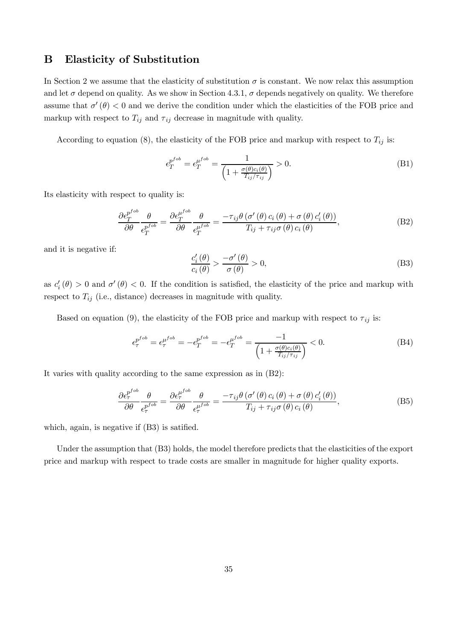## B Elasticity of Substitution

In Section 2 we assume that the elasticity of substitution  $\sigma$  is constant. We now relax this assumption and let  $\sigma$  depend on quality. As we show in Section 4.3.1,  $\sigma$  depends negatively on quality. We therefore assume that  $\sigma'(\theta) < 0$  and we derive the condition under which the elasticities of the FOB price and markup with respect to  $T_{ij}$  and  $\tau_{ij}$  decrease in magnitude with quality.

According to equation (8), the elasticity of the FOB price and markup with respect to  $T_{ij}$  is:

$$
\epsilon_T^{p^{fob}} = \epsilon_T^{\mu^{fob}} = \frac{1}{\left(1 + \frac{\sigma(\theta)c_i(\theta)}{T_{ij}/\tau_{ij}}\right)} > 0. \tag{B1}
$$

Its elasticity with respect to quality is:

$$
\frac{\partial \epsilon_T^{p^{fob}}}{\partial \theta} \frac{\theta}{\epsilon_T^{p^{fob}}} = \frac{\partial \epsilon_T^{\mu^{fob}}}{\partial \theta} \frac{\theta}{\epsilon_T^{\mu^{fob}}} = \frac{-\tau_{ij} \theta \left( \sigma'(\theta) c_i(\theta) + \sigma(\theta) c'_i(\theta) \right)}{T_{ij} + \tau_{ij} \sigma(\theta) c_i(\theta)},
$$
(B2)

and it is negative if:

$$
\frac{c_i'(\theta)}{c_i(\theta)} > \frac{-\sigma'(\theta)}{\sigma(\theta)} > 0,\tag{B3}
$$

as  $c_i'(\theta) > 0$  and  $\sigma'(\theta) < 0$ . If the condition is satisfied, the elasticity of the price and markup with respect to  $T_{ij}$  (i.e., distance) decreases in magnitude with quality.

Based on equation (9), the elasticity of the FOB price and markup with respect to  $\tau_{ij}$  is:

$$
\epsilon_T^{p^{fob}} = \epsilon_T^{\mu^{fob}} = -\epsilon_T^{p^{fob}} = -\epsilon_T^{\mu^{fob}} = \frac{-1}{\left(1 + \frac{\sigma(\theta)c_i(\theta)}{T_{ij}/\tau_{ij}}\right)} < 0.
$$
\n(B4)

It varies with quality according to the same expression as in (B2):

$$
\frac{\partial \epsilon_{\tau}^{p^{fob}}}{\partial \theta} \frac{\theta}{\epsilon_{\tau}^{p^{fob}}} = \frac{\partial \epsilon_{\tau}^{\mu^{fob}}}{\partial \theta} \frac{\theta}{\epsilon_{\tau}^{\mu^{fob}}} = \frac{-\tau_{ij} \theta \left( \sigma'(\theta) c_i(\theta) + \sigma(\theta) c'_i(\theta) \right)}{T_{ij} + \tau_{ij} \sigma(\theta) c_i(\theta)},
$$
(B5)

which, again, is negative if  $(B3)$  is satified.

Under the assumption that (B3) holds, the model therefore predicts that the elasticities of the export price and markup with respect to trade costs are smaller in magnitude for higher quality exports.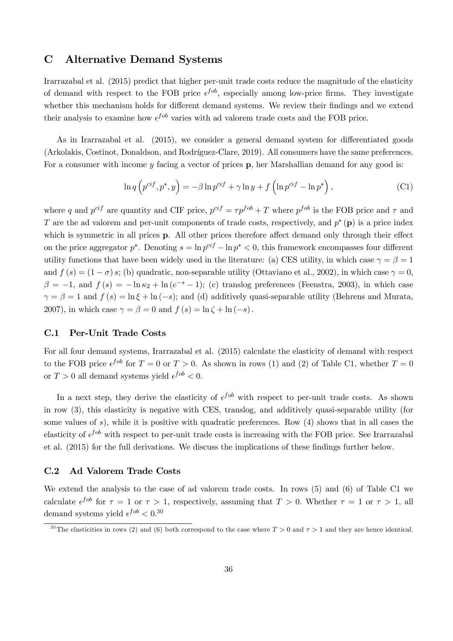## C Alternative Demand Systems

Irarrazabal et al. (2015) predict that higher per-unit trade costs reduce the magnitude of the elasticity of demand with respect to the FOB price  $\epsilon^{fob}$ , especially among low-price firms. They investigate whether this mechanism holds for different demand systems. We review their findings and we extend their analysis to examine how  $\epsilon^{fob}$  varies with ad valorem trade costs and the FOB price.

As in Irarrazabal et al.  $(2015)$ , we consider a general demand system for differentiated goods (Arkolakis, Costinot, Donaldson, and Rodríguez-Clare, 2019). All consumers have the same preferences. For a consumer with income  $y$  facing a vector of prices  $p$ , her Marshallian demand for any good is:

$$
\ln q \left( p^{cif}, p^*, y \right) = -\beta \ln p^{cif} + \gamma \ln y + f \left( \ln p^{cif} - \ln p^* \right), \tag{C1}
$$

where q and  $p^{cif}$  are quantity and CIF price,  $p^{cif} = \tau p^{fob} + T$  where  $p^{fob}$  is the FOB price and  $\tau$  and T are the ad valorem and per-unit components of trade costs, respectively, and  $p^*$  (p) is a price index which is symmetric in all prices  $\bf{p}$ . All other prices therefore affect demand only through their effect on the price aggregator  $p^*$ . Denoting  $s = \ln p^{ci} - \ln p^* < 0$ , this framework encompasses four different utility functions that have been widely used in the literature: (a) CES utility, in which case  $\gamma = \beta = 1$ and  $f(s) = (1 - \sigma)s$ ; (b) quadratic, non-separable utility (Ottaviano et al., 2002), in which case  $\gamma = 0$ ,  $\beta = -1$ , and  $f(s) = -\ln \kappa_2 + \ln(e^{-s} - 1)$ ; (c) translog preferences (Feenstra, 2003), in which case  $\gamma = \beta = 1$  and  $f(s) = \ln \xi + \ln (-s)$ ; and (d) additively quasi-separable utility (Behrens and Murata, 2007), in which case  $\gamma = \beta = 0$  and  $f(s) = \ln \zeta + \ln(-s)$ .

#### C.1 Per-Unit Trade Costs

For all four demand systems, Irarrazabal et al. (2015) calculate the elasticity of demand with respect to the FOB price  $\epsilon^{fob}$  for  $T = 0$  or  $T > 0$ . As shown in rows (1) and (2) of Table C1, whether  $T = 0$ or  $T > 0$  all demand systems yield  $\epsilon^{fob} < 0$ .

In a next step, they derive the elasticity of  $\epsilon^{fob}$  with respect to per-unit trade costs. As shown in row (3), this elasticity is negative with CES, translog, and additively quasi-separable utility (for some values of s), while it is positive with quadratic preferences. Row  $(4)$  shows that in all cases the elasticity of  $\epsilon^{job}$  with respect to per-unit trade costs is increasing with the FOB price. See Irarrazabal et al.  $(2015)$  for the full derivations. We discuss the implications of these findings further below.

#### C.2 Ad Valorem Trade Costs

We extend the analysis to the case of ad valorem trade costs. In rows (5) and (6) of Table C1 we calculate  $\epsilon^{fob}$  for  $\tau = 1$  or  $\tau > 1$ , respectively, assuming that  $T > 0$ . Whether  $\tau = 1$  or  $\tau > 1$ , all demand systems yield  $\epsilon^{fob} < 0.30$ 

<sup>&</sup>lt;sup>30</sup>The elasticities in rows (2) and (6) both correspond to the case where  $T > 0$  and  $\tau > 1$  and they are hence identical.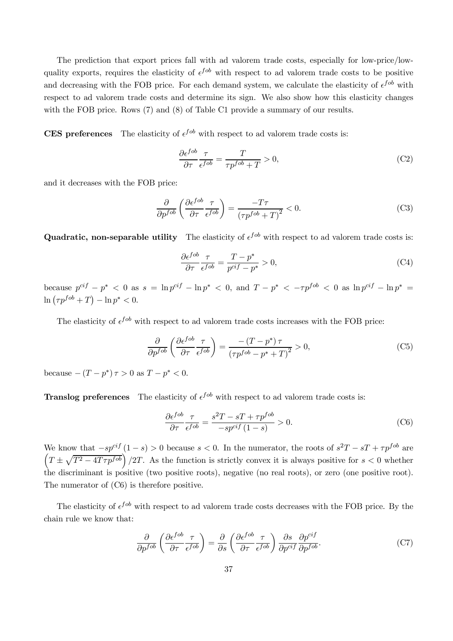The prediction that export prices fall with ad valorem trade costs, especially for low-price/lowquality exports, requires the elasticity of  $\epsilon^{fob}$  with respect to ad valorem trade costs to be positive and decreasing with the FOB price. For each demand system, we calculate the elasticity of  $\epsilon^{fob}$  with respect to ad valorem trade costs and determine its sign. We also show how this elasticity changes with the FOB price. Rows (7) and (8) of Table C1 provide a summary of our results.

**CES** preferences The elasticity of  $\epsilon^{fob}$  with respect to ad valorem trade costs is:

$$
\frac{\partial \epsilon^{fob}}{\partial \tau} \frac{\tau}{\epsilon^{fob}} = \frac{T}{\tau p^{fob} + T} > 0,
$$
\n(C2)

and it decreases with the FOB price:

$$
\frac{\partial}{\partial p^{fob}} \left( \frac{\partial \epsilon^{fob}}{\partial \tau} \frac{\tau}{\epsilon^{fob}} \right) = \frac{-T\tau}{\left( \tau p^{fob} + T \right)^2} < 0. \tag{C3}
$$

Quadratic, non-separable utility The elasticity of  $\epsilon^{fob}$  with respect to ad valorem trade costs is:

$$
\frac{\partial \epsilon^{fob}}{\partial \tau} \frac{\tau}{\epsilon^{fob}} = \frac{T - p^*}{p^{ci f} - p^*} > 0,
$$
\n(C4)

because  $p^{cif} - p^* < 0$  as  $s = \ln p^{cif} - \ln p^* < 0$ , and  $T - p^* < -\tau p^{fob} < 0$  as  $\ln p^{cif} - \ln p^* =$  $\ln ( \tau p^{fob} + T ) - \ln p^* < 0.$ 

The elasticity of  $\epsilon^{fob}$  with respect to ad valorem trade costs increases with the FOB price:

$$
\frac{\partial}{\partial p^{fob}} \left( \frac{\partial \epsilon^{fob}}{\partial \tau} \frac{\tau}{\epsilon^{fob}} \right) = \frac{-\left(T - p^*\right)\tau}{\left(\tau p^{fob} - p^* + T\right)^2} > 0,\tag{C5}
$$

because  $-(T - p^*) \tau > 0$  as  $T - p^* < 0$ .

**Translog preferences** The elasticity of  $\epsilon^{fob}$  with respect to ad valorem trade costs is:

$$
\frac{\partial \epsilon^{fob}}{\partial \tau} \frac{\tau}{\epsilon^{fob}} = \frac{s^2 T - sT + \tau p^{fob}}{-s p^{cif} (1 - s)} > 0.
$$
 (C6)

We know that  $-sp^{cif}(1-s) > 0$  because  $s < 0$ . In the numerator, the roots of  $s^2T - sT + \tau p^{fob}$  are  $\left(T \pm \sqrt{T^2 - 4T\tau p^{fob}}\right)/2T$ . As the function is strictly convex it is always positive for  $s < 0$  whether the discriminant is positive (two positive roots), negative (no real roots), or zero (one positive root). The numerator of (C6) is therefore positive.

The elasticity of  $\epsilon^{fob}$  with respect to ad valorem trade costs decreases with the FOB price. By the chain rule we know that:

$$
\frac{\partial}{\partial p^{fob}} \left( \frac{\partial \epsilon^{fob}}{\partial \tau} \frac{\tau}{\epsilon^{fob}} \right) = \frac{\partial}{\partial s} \left( \frac{\partial \epsilon^{fob}}{\partial \tau} \frac{\tau}{\epsilon^{fob}} \right) \frac{\partial s}{\partial p^{ci f}} \frac{\partial p^{ci f}}{\partial p^{fob}}.
$$
(C7)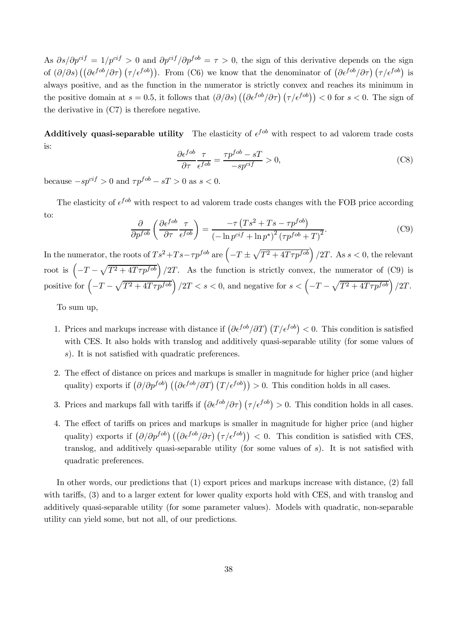As  $\partial s/\partial p^{cif} = 1/p^{cif} > 0$  and  $\partial p^{cif}/\partial p^{fob} = \tau > 0$ , the sign of this derivative depends on the sign of  $(\partial/\partial s) \left( (\partial \epsilon^{fob}/\partial \tau) (\tau/\epsilon^{fob}) \right)$ . From (C6) we know that the denominator of  $(\partial \epsilon^{fob}/\partial \tau) (\tau/\epsilon^{fob})$  is always positive, and as the function in the numerator is strictly convex and reaches its minimum in the positive domain at  $s = 0.5$ , it follows that  $\left(\frac{\partial}{\partial s}\right) \left(\frac{\partial \epsilon^{f \circ b}}{\partial \tau}\right) \left(\frac{\tau}{\epsilon^{f \circ b}}\right) < 0$  for  $s < 0$ . The sign of the derivative in (C7) is therefore negative.

**Additively quasi-separable utility** The elasticity of  $\epsilon^{fob}$  with respect to ad valorem trade costs is:

$$
\frac{\partial \epsilon^{fob}}{\partial \tau} \frac{\tau}{\epsilon^{fob}} = \frac{\tau p^{fob} - sT}{-sp^{ci f}} > 0,
$$
\n(C8)

because  $-sp^{cif} > 0$  and  $\tau p^{fob} - sT > 0$  as  $s < 0$ .

The elasticity of  $\epsilon^{fob}$  with respect to ad valorem trade costs changes with the FOB price according to:

$$
\frac{\partial}{\partial p^{fob}} \left( \frac{\partial \epsilon^{fob}}{\partial \tau} \frac{\tau}{\epsilon^{fob}} \right) = \frac{-\tau (Ts^2 + Ts - \tau p^{fob})}{\left( -\ln p^{cif} + \ln p^* \right)^2 (\tau p^{fob} + T)^2}.
$$
(C9)

In the numerator, the roots of  $Ts^2+Ts-\tau p^{fob}$  are  $\left(-T\pm\sqrt{T^2+4T\tau p^{fob}}\right)/2T$ . As  $s<0$ , the relevant root is  $\left(-T-\sqrt{T^2+4T\tau p^{fob}}\right)/2T$ . As the function is strictly convex, the numerator of (C9) is positive for  $\left(-T-\sqrt{T^2+4T\tau p^{fob}}\right)/2T < s < 0$ , and negative for  $s < \left(-T-\sqrt{T^2+4T\tau p^{fob}}\right)/2T$ .

To sum up,

- 1. Prices and markups increase with distance if  $\left(\frac{\partial \epsilon^{fob}}{\partial T}\right)(T/\epsilon^{fob}) < 0$ . This condition is satisfied with CES. It also holds with translog and additively quasi-separable utility (for some values of s). It is not satisfied with quadratic preferences.
- 2. The effect of distance on prices and markups is smaller in magnitude for higher price (and higher quality) exports if  $\left(\partial/\partial p^{fob}\right) \left(\left(\partial \epsilon^{fob}/\partial T\right) \left(T/\epsilon^{fob}\right)\right) > 0$ . This condition holds in all cases.
- 3. Prices and markups fall with tariffs if  $\left(\frac{\partial \epsilon^{fob}}{\partial \tau}\right) \left(\frac{\tau}{\epsilon^{fob}}\right) > 0$ . This condition holds in all cases.
- 4. The effect of tariffs on prices and markups is smaller in magnitude for higher price (and higher quality) exports if  $(\partial/\partial p^{fob})((\partial \epsilon^{fob}/\partial \tau) (\tau/\epsilon^{fob})) < 0$ . This condition is satisfied with CES, translog, and additively quasi-separable utility (for some values of  $s$ ). It is not satisfied with quadratic preferences.

In other words, our predictions that (1) export prices and markups increase with distance, (2) fall with tariffs, (3) and to a larger extent for lower quality exports hold with CES, and with translog and additively quasi-separable utility (for some parameter values). Models with quadratic, non-separable utility can yield some, but not all, of our predictions.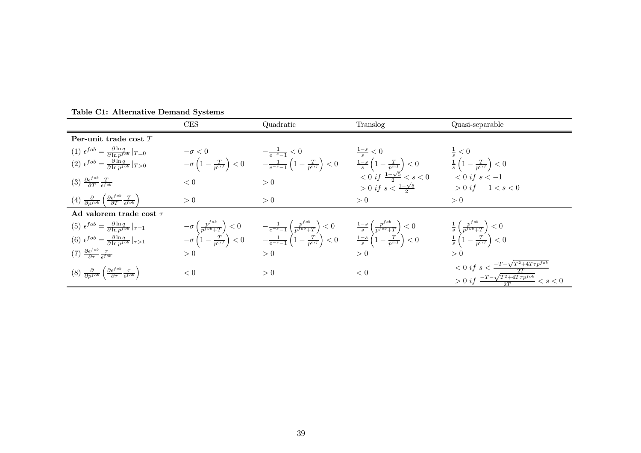|                                                                                                                                     | CES | Quadratic                                                                                                                                                                                                                                                                                                                                             | Translog                                                                            | Quasi-separable                                                                                                              |
|-------------------------------------------------------------------------------------------------------------------------------------|-----|-------------------------------------------------------------------------------------------------------------------------------------------------------------------------------------------------------------------------------------------------------------------------------------------------------------------------------------------------------|-------------------------------------------------------------------------------------|------------------------------------------------------------------------------------------------------------------------------|
| Per-unit trade cost $T$                                                                                                             |     |                                                                                                                                                                                                                                                                                                                                                       |                                                                                     |                                                                                                                              |
| (1) $\epsilon^{fob} = \frac{\partial \ln q}{\partial \ln p^{fob}} _{T=0}$                                                           |     |                                                                                                                                                                                                                                                                                                                                                       |                                                                                     |                                                                                                                              |
| (2) $\epsilon^{fob} = \frac{\partial \ln q}{\partial \ln n^{fob}} _{T>0}$                                                           |     | $\begin{array}{lll} -\sigma<0 & & -\frac{1}{e^{-s}-1}<0 & \frac{1-s}{s}<0 & \frac{1}{s}<0 \\ -\sigma\left(1-\frac{T}{p^{ci f}}\right)<0 & & -\frac{1}{e^{-s}-1}\left(1-\frac{T}{p^{ci f}}\right)<0 & \frac{1-s}{s}\left(1-\frac{T}{p^{ci f}}\right)<0 & \frac{1}{s}\left(1-\frac{T}{p^{ci f}}\right)<0 \end{array}$                                   |                                                                                     |                                                                                                                              |
| $(3) \frac{\partial \epsilon^{fob}}{\partial T} \frac{T}{\epsilon^{fob}}$                                                           | < 0 | > 0                                                                                                                                                                                                                                                                                                                                                   | $< 0 \text{ if } \frac{1-\sqrt{5}}{2} < s < 0$<br>> 0 if $s < \frac{1-\sqrt{5}}{2}$ | $< 0$ if $s < -1$<br>$> 0$ if $-1 < s < 0$                                                                                   |
| $\left(4\right) \frac{\partial}{\partial p^{fob}} \left(\frac{\partial \epsilon^{fob}}{\partial T} \frac{T}{\epsilon^{fob}}\right)$ | > 0 | > 0                                                                                                                                                                                                                                                                                                                                                   | > 0                                                                                 | > 0                                                                                                                          |
| Ad valorem trade cost $\tau$                                                                                                        |     |                                                                                                                                                                                                                                                                                                                                                       |                                                                                     |                                                                                                                              |
| $(5) \epsilon^{fob} = \frac{\partial \ln q}{\partial \ln n^{fob}} _{\tau=1}$                                                        |     | $-\sigma\left(\frac{p^{f^{oo}}}{p^{fob}+T}\right) < 0$ $-\frac{1}{e^{-s}-1}\left(\frac{p^{f^{oo}}}{p^{fob}+T}\right) < 0$ $\frac{1-s}{s}\left(\frac{p^{f^{oo}}}{p^{fob}+T}\right) < 0$<br>$-\sigma\left(1-\frac{T}{p^{ci}f}\right) < 0$ $-\frac{1}{e^{-s}-1}\left(1-\frac{T}{p^{ci}f}\right) < 0$ $\frac{1-s}{s}\left(1-\frac{T}{p^{ci}f}\right) < 0$ |                                                                                     | $\frac{1}{s}\left(\frac{p^{fob}}{p^{fob}+T}\right) < 0$<br>$\frac{1}{s}\left(1-\frac{T}{p^{cif}}\right) < 0$                 |
| (6) $\epsilon^{fob} = \frac{\partial \ln q}{\partial \ln p^{fob}} _{\tau > 1}$                                                      |     |                                                                                                                                                                                                                                                                                                                                                       |                                                                                     |                                                                                                                              |
| $(7) \frac{\partial \epsilon^{fob}}{\partial \tau} \frac{\tau}{\epsilon^{fob}}$                                                     | > 0 | > 0                                                                                                                                                                                                                                                                                                                                                   | > 0                                                                                 | > 0                                                                                                                          |
| $(8)$ $\frac{\partial}{\partial p^{fob}} \left( \frac{\partial \epsilon^{fob}}{\partial \tau} \frac{\tau}{\epsilon^{fob}} \right)$  | < 0 | > 0                                                                                                                                                                                                                                                                                                                                                   | < 0                                                                                 | $< 0$ if $s < \frac{-T - \sqrt{T^2 + 4T\tau p^{fob}}}{2T}$<br>$> 0$ if $\frac{-T - \sqrt{T^2 + 4T\tau p^{fob}}}{2T} < s < 0$ |

Table C1: Alternative Demand Systems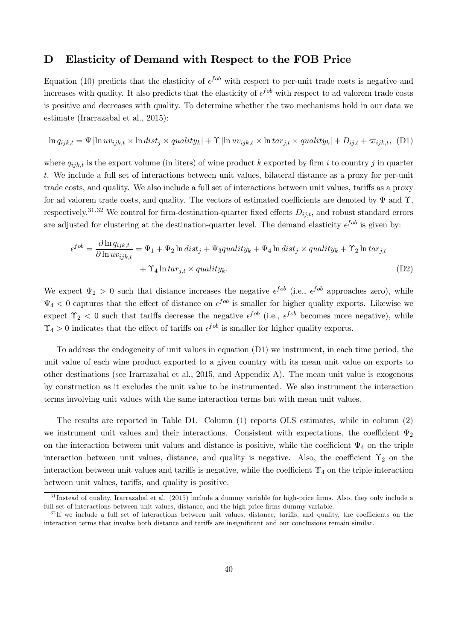## D Elasticity of Demand with Respect to the FOB Price

Equation (10) predicts that the elasticity of  $\epsilon^{fob}$  with respect to per-unit trade costs is negative and increases with quality. It also predicts that the elasticity of  $\epsilon^{fob}$  with respect to ad valorem trade costs is positive and decreases with quality. To determine whether the two mechanisms hold in our data we estimate (Irarrazabal et al., 2015):

$$
\ln q_{ijk,t} = \Psi[\ln uv_{ijk,t} \times \ln dist_j \times quality_k] + \Upsilon[\ln uv_{ijk,t} \times \ln tar_{j,t} \times quality_k] + D_{ij,t} + \varpi_{ijk,t}, (D1)
$$

where  $q_{ijk,t}$  is the export volume (in liters) of wine product k exported by firm i to country j in quarter t. We include a full set of interactions between unit values, bilateral distance as a proxy for per-unit trade costs, and quality. We also include a full set of interactions between unit values, tariffs as a proxy for ad valorem trade costs, and quality. The vectors of estimated coefficients are denoted by  $\Psi$  and  $\Upsilon$ , respectively.<sup>31,32</sup> We control for firm-destination-quarter fixed effects  $D_{ij,t}$ , and robust standard errors are adjusted for clustering at the destination-quarter level. The demand elasticity  $\epsilon^{fob}$  is given by:

$$
\epsilon^{fob} = \frac{\partial \ln q_{ijk,t}}{\partial \ln uv_{ijk,t}} = \Psi_1 + \Psi_2 \ln dist_j + \Psi_3 quality_k + \Psi_4 \ln dist_j \times quality_k + \Upsilon_2 \ln tar_{j,t} + \Upsilon_4 \ln tar_{j,t} \times quality_k.
$$
\n(D2)

We expect  $\Psi_2 > 0$  such that distance increases the negative  $\epsilon^{fob}$  (i.e.,  $\epsilon^{fob}$  approaches zero), while  $\Psi_4 < 0$  captures that the effect of distance on  $\epsilon^{fob}$  is smaller for higher quality exports. Likewise we expect  $\Upsilon_2$  < 0 such that tariffs decrease the negative  $\epsilon^{fob}$  (i.e.,  $\epsilon^{fob}$  becomes more negative), while  $\Upsilon_4 > 0$  indicates that the effect of tariffs on  $\epsilon^{fob}$  is smaller for higher quality exports.

To address the endogeneity of unit values in equation (D1) we instrument, in each time period, the unit value of each wine product exported to a given country with its mean unit value on exports to other destinations (see Irarrazabal et al., 2015, and Appendix A). The mean unit value is exogenous by construction as it excludes the unit value to be instrumented. We also instrument the interaction terms involving unit values with the same interaction terms but with mean unit values.

The results are reported in Table D1. Column (1) reports OLS estimates, while in column (2) we instrument unit values and their interactions. Consistent with expectations, the coefficient  $\Psi_2$ on the interaction between unit values and distance is positive, while the coefficient  $\Psi_4$  on the triple interaction between unit values, distance, and quality is negative. Also, the coefficient  $\Upsilon_2$  on the interaction between unit values and tariffs is negative, while the coefficient  $\Upsilon_4$  on the triple interaction between unit values, tariffs, and quality is positive.

 $31$  Instead of quality, Irarrazabal et al. (2015) include a dummy variable for high-price firms. Also, they only include a full set of interactions between unit values, distance, and the high-price firms dummy variable.

 $32$  If we include a full set of interactions between unit values, distance, tariffs, and quality, the coefficients on the interaction terms that involve both distance and tariffs are insignificant and our conclusions remain similar.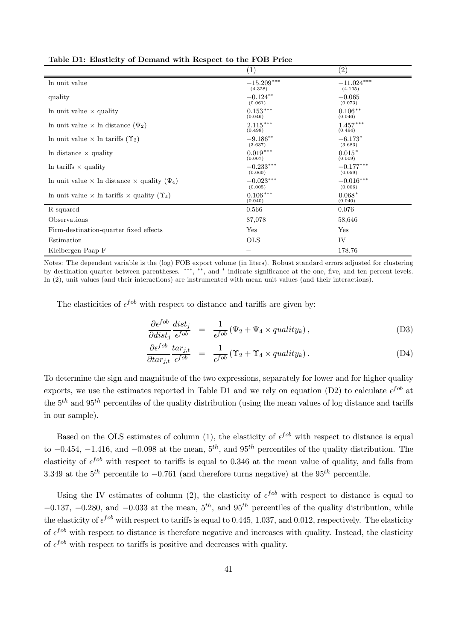|                                                                   | $\left( 1\right)$       | (2)                     |
|-------------------------------------------------------------------|-------------------------|-------------------------|
| In unit value                                                     | $-15.209***$<br>(4.328) | $-11.024***$<br>(4.105) |
| quality                                                           | $-0.124**$<br>(0.061)   | $-0.065$<br>(0.073)     |
| In unit value $\times$ quality                                    | $0.153***$<br>(0.046)   | $0.106***$<br>(0.046)   |
| In unit value $\times$ In distance $(\Psi_2)$                     | $2.115***$<br>(0.498)   | $1.457***$<br>(0.494)   |
| In unit value $\times$ In tariffs $(\Upsilon_2)$                  | $-9.186**$<br>(3.637)   | $-6.173*$<br>(3.683)    |
| In distance $\times$ quality                                      | $0.019***$<br>(0.007)   | $0.015*$<br>(0.009)     |
| In tariffs $\times$ quality                                       | $-0.233***$<br>(0.060)  | $-0.177***$<br>(0.059)  |
| In unit value $\times$ In distance $\times$ quality $(\Psi_4)$    | $-0.023***$<br>(0.005)  | $-0.016***$<br>(0.006)  |
| In unit value $\times$ ln tariffs $\times$ quality $(\Upsilon_4)$ | $0.106***$<br>(0.040)   | $0.068*$<br>(0.040)     |
| R-squared                                                         | 0.566                   | 0.076                   |
| Observations                                                      | 87,078                  | 58,646                  |
| Firm-destination-quarter fixed effects                            | Yes                     | Yes                     |
| Estimation                                                        | <b>OLS</b>              | IV                      |
| Kleibergen-Paap F                                                 |                         | 178.76                  |

Table D1: Elasticity of Demand with Respect to the FOB Price

Notes: The dependent variable is the (log) FOB export volume (in liters). Robust standard errors adjusted for clustering by destination-quarter between parentheses. \*\*\*, \*\*, and \* indicate significance at the one, five, and ten percent levels. In (2), unit values (and their interactions) are instrumented with mean unit values (and their interactions).

The elasticities of  $\epsilon^{fob}$  with respect to distance and tariffs are given by:

$$
\frac{\partial \epsilon^{fob}}{\partial dist_j} \stackrel{dist_j}{\epsilon^{fob}} = \frac{1}{\epsilon^{fob}} (\Psi_2 + \Psi_4 \times quality_k), \tag{D3}
$$

$$
\frac{\partial \epsilon^{fob}}{\partial \tau_{j,t}} \frac{\tau_{j,t}}{\epsilon^{fob}} = \frac{1}{\epsilon^{fob}} (\Upsilon_2 + \Upsilon_4 \times \text{quality}_k). \tag{D4}
$$

To determine the sign and magnitude of the two expressions, separately for lower and for higher quality exports, we use the estimates reported in Table D1 and we rely on equation (D2) to calculate  $\epsilon^{fob}$  at the  $5<sup>th</sup>$  and  $95<sup>th</sup>$  percentiles of the quality distribution (using the mean values of log distance and tariffs in our sample).

Based on the OLS estimates of column (1), the elasticity of  $\epsilon^{fob}$  with respect to distance is equal to  $-0.454$ ,  $-1.416$ , and  $-0.098$  at the mean,  $5<sup>th</sup>$ , and  $95<sup>th</sup>$  percentiles of the quality distribution. The elasticity of  $\epsilon^{fob}$  with respect to tariffs is equal to 0.346 at the mean value of quality, and falls from 3.349 at the  $5^{th}$  percentile to  $-0.761$  (and therefore turns negative) at the  $95^{th}$  percentile.

Using the IV estimates of column (2), the elasticity of  $\epsilon^{fob}$  with respect to distance is equal to  $-0.137, -0.280,$  and  $-0.033$  at the mean,  $5<sup>th</sup>$ , and  $95<sup>th</sup>$  percentiles of the quality distribution, while the elasticity of  $\epsilon^{job}$  with respect to tariffs is equal to 0.445, 1.037, and 0.012, respectively. The elasticity of  $\epsilon^{fob}$  with respect to distance is therefore negative and increases with quality. Instead, the elasticity of  $\epsilon^{fob}$  with respect to tariffs is positive and decreases with quality.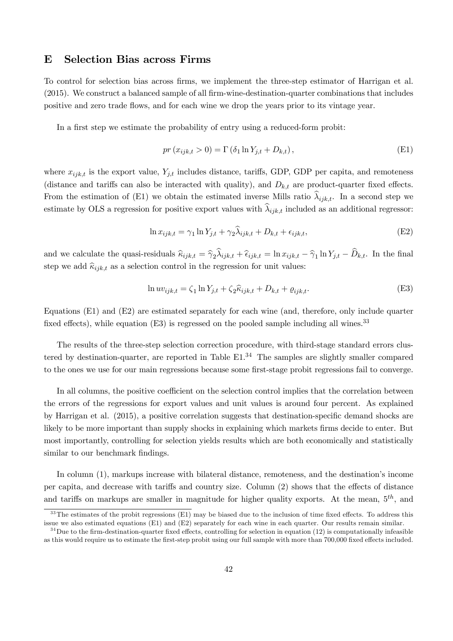### E Selection Bias across Firms

To control for selection bias across firms, we implement the three-step estimator of Harrigan et al.  $(2015)$ . We construct a balanced sample of all firm-wine-destination-quarter combinations that includes positive and zero trade flows, and for each wine we drop the years prior to its vintage year.

In a first step we estimate the probability of entry using a reduced-form probit:

$$
pr(x_{ijk,t} > 0) = \Gamma(\delta_1 \ln Y_{j,t} + D_{k,t}),
$$
\n(E1)

where  $x_{ijk,t}$  is the export value,  $Y_{j,t}$  includes distance, tariffs, GDP, GDP per capita, and remoteness (distance and tariffs can also be interacted with quality), and  $D_{k,t}$  are product-quarter fixed effects. From the estimation of (E1) we obtain the estimated inverse Mills ratio  $\lambda_{ijk,t}$ . In a second step we estimate by OLS a regression for positive export values with  $\lambda_{ijk,t}$  included as an additional regressor:

$$
\ln x_{ijk,t} = \gamma_1 \ln Y_{j,t} + \gamma_2 \widehat{\lambda}_{ijk,t} + D_{k,t} + \epsilon_{ijk,t},\tag{E2}
$$

and we calculate the quasi-residuals  $\hat{\kappa}_{ijk,t} = \hat{\gamma}_2 \lambda_{ijk,t} + \hat{\epsilon}_{ijk,t} = \ln x_{ijk,t} - \hat{\gamma}_1 \ln Y_{j,t} - D_{k,t}$ . In the final step we add  $\hat{\kappa}_{ijk,t}$  as a selection control in the regression for unit values:

$$
\ln uv_{ijk,t} = \zeta_1 \ln Y_{j,t} + \zeta_2 \hat{\kappa}_{ijk,t} + D_{k,t} + \varrho_{ijk,t}.
$$
\n(E3)

Equations (E1) and (E2) are estimated separately for each wine (and, therefore, only include quarter fixed effects), while equation  $(E3)$  is regressed on the pooled sample including all wines.<sup>33</sup>

The results of the three-step selection correction procedure, with third-stage standard errors clustered by destination-quarter, are reported in Table  $E1<sup>34</sup>$  The samples are slightly smaller compared to the ones we use for our main regressions because some first-stage probit regressions fail to converge.

In all columns, the positive coefficient on the selection control implies that the correlation between the errors of the regressions for export values and unit values is around four percent. As explained by Harrigan et al.  $(2015)$ , a positive correlation suggests that destination-specific demand shocks are likely to be more important than supply shocks in explaining which markets firms decide to enter. But most importantly, controlling for selection yields results which are both economically and statistically similar to our benchmark findings.

In column (1), markups increase with bilateral distance, remoteness, and the destination's income per capita, and decrease with tariffs and country size. Column (2) shows that the effects of distance and tariffs on markups are smaller in magnitude for higher quality exports. At the mean,  $5<sup>th</sup>$ , and

 $33$ The estimates of the probit regressions (E1) may be biased due to the inclusion of time fixed effects. To address this issue we also estimated equations (E1) and (E2) separately for each wine in each quarter. Our results remain similar.

 $34$  Due to the firm-destination-quarter fixed effects, controlling for selection in equation (12) is computationally infeasible as this would require us to estimate the first-step probit using our full sample with more than 700,000 fixed effects included.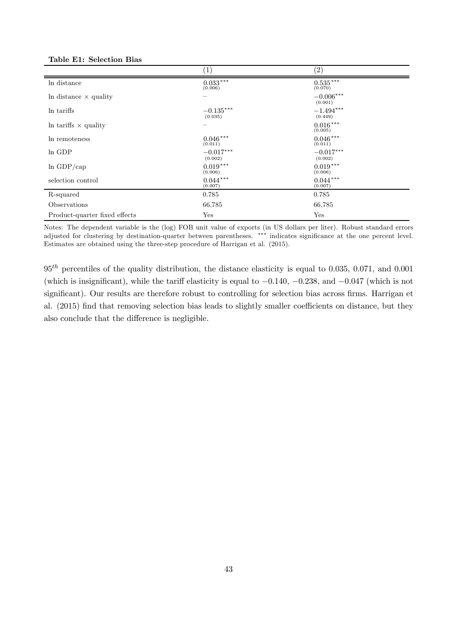| Table E1: Selection Bias |  |
|--------------------------|--|
|--------------------------|--|

|                               | $\left(1\right)$       | $\left( 2\right)$      |
|-------------------------------|------------------------|------------------------|
| In distance                   | $0.033***$<br>(0.006)  | $0.535***$<br>(0.070)  |
| In distance $\times$ quality  |                        | $-0.006***$<br>(0.001) |
| In tariffs                    | $-0.135***$<br>(0.035) | $-1.494***$<br>(0.449) |
| In tariffs $\times$ quality   |                        | $0.016***$<br>(0.005)  |
| In remoteness                 | $0.046***$<br>(0.011)  | $0.046***$<br>(0.011)  |
| In GDP                        | $-0.017***$<br>(0.002) | $-0.017***$<br>(0.002) |
| $ln$ GDP/cap                  | $0.019***$<br>(0.006)  | $0.019***$<br>(0.006)  |
| selection control             | $0.044***$<br>(0.007)  | $0.044***$<br>(0.007)  |
| R-squared                     | 0.785                  | 0.785                  |
| Observations                  | 66,785                 | 66,785                 |
| Product-quarter fixed effects | Yes                    | Yes                    |

Notes: The dependent variable is the (log) FOB unit value of exports (in US dollars per liter). Robust standard errors adjusted for clustering by destination-quarter between parentheses. \*\*\* indicates significance at the one percent level. Estimates are obtained using the three-step procedure of Harrigan et al. (2015).

 $95<sup>th</sup>$  percentiles of the quality distribution, the distance elasticity is equal to 0.035, 0.071, and 0.001 (which is insignificant), while the tariff elasticity is equal to  $-0.140$ ,  $-0.238$ , and  $-0.047$  (which is not significant). Our results are therefore robust to controlling for selection bias across firms. Harrigan et al. (2015) find that removing selection bias leads to slightly smaller coefficients on distance, but they also conclude that the difference is negligible.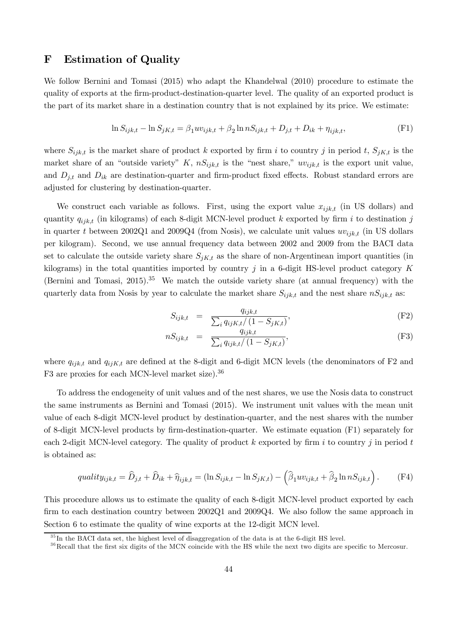## F Estimation of Quality

We follow Bernini and Tomasi (2015) who adapt the Khandelwal (2010) procedure to estimate the quality of exports at the firm-product-destination-quarter level. The quality of an exported product is the part of its market share in a destination country that is not explained by its price. We estimate:

$$
\ln S_{ijk,t} - \ln S_{jK,t} = \beta_1 uv_{ijk,t} + \beta_2 \ln n S_{ijk,t} + D_{j,t} + D_{ik} + \eta_{ijk,t},
$$
(F1)

where  $S_{ijk,t}$  is the market share of product k exported by firm i to country j in period t,  $S_{jK,t}$  is the market share of an "outside variety" K,  $nS_{ijk,t}$  is the "nest share,"  $uv_{ijk,t}$  is the export unit value, and  $D_{ik}$  and  $D_{ik}$  are destination-quarter and firm-product fixed effects. Robust standard errors are adjusted for clustering by destination-quarter.

We construct each variable as follows. First, using the export value  $x_{ijk,t}$  (in US dollars) and quantity  $q_{ijk,t}$  (in kilograms) of each 8-digit MCN-level product k exported by firm i to destination j in quarter t between 2002Q1 and 2009Q4 (from Nosis), we calculate unit values  $uv_{ijk,t}$  (in US dollars per kilogram). Second, we use annual frequency data between 2002 and 2009 from the BACI data set to calculate the outside variety share  $S_{jK,t}$  as the share of non-Argentinean import quantities (in kilograms) in the total quantities imported by country  $j$  in a 6-digit HS-level product category  $K$ (Bernini and Tomasi,  $2015$ ).<sup>35</sup> We match the outside variety share (at annual frequency) with the quarterly data from Nosis by year to calculate the market share  $S_{ijk,t}$  and the nest share  $nS_{ijk,t}$  as:

$$
S_{ijk,t} = \frac{q_{ijk,t}}{\sum_{i} q_{ijK,t}/(1 - S_{jK,t})},
$$
\n(F2)

$$
nS_{ijk,t} = \frac{q_{ijk,t}}{\sum_{i} q_{ijk,t}/(1 - S_{jK,t})},
$$
(F3)

where  $q_{ijk,t}$  and  $q_{ijk,t}$  are defined at the 8-digit and 6-digit MCN levels (the denominators of F2 and F3 are proxies for each MCN-level market size).<sup>36</sup>

To address the endogeneity of unit values and of the nest shares, we use the Nosis data to construct the same instruments as Bernini and Tomasi (2015). We instrument unit values with the mean unit value of each 8-digit MCN-level product by destination-quarter, and the nest shares with the number of 8-digit MCN-level products by firm-destination-quarter. We estimate equation  $(F1)$  separately for each 2-digit MCN-level category. The quality of product k exported by firm i to country j in period t is obtained as:

$$
quality_{ijk,t} = \widehat{D}_{j,t} + \widehat{D}_{ik} + \widehat{\eta}_{ijk,t} = (\ln S_{ijk,t} - \ln S_{jK,t}) - (\widehat{\beta}_1 uv_{ijk,t} + \widehat{\beta}_2 \ln n S_{ijk,t}).
$$
 (F4)

This procedure allows us to estimate the quality of each 8-digit MCN-level product exported by each firm to each destination country between  $2002Q1$  and  $2009Q4$ . We also follow the same approach in Section 6 to estimate the quality of wine exports at the 12-digit MCN level.

 $35 \text{ In the BACI data set, the highest level of disagreement of the data is at the 6-digit HS level.}$ 

 $36$  Recall that the first six digits of the MCN coincide with the HS while the next two digits are specific to Mercosur.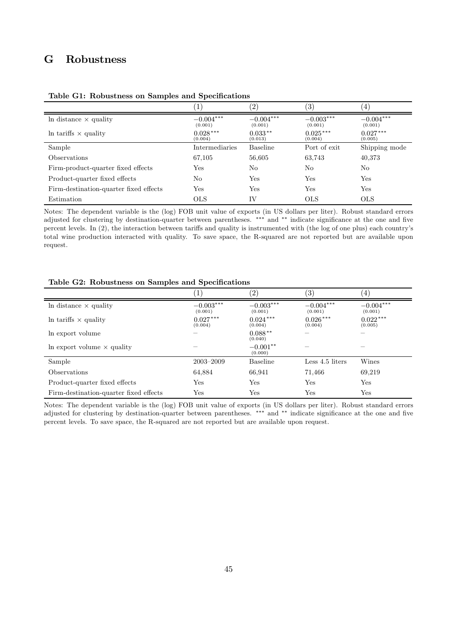# G Robustness

|                                        | $1^{\circ}$            | $\left( 2\right)$      | $\left( 3\right)$      | $\pm$                  |
|----------------------------------------|------------------------|------------------------|------------------------|------------------------|
| In distance $\times$ quality           | $-0.004***$<br>(0.001) | $-0.004***$<br>(0.001) | $-0.003***$<br>(0.001) | $-0.004***$<br>(0.001) |
| In tariffs $\times$ quality            | $0.028***$<br>(0.004)  | $0.033**$<br>(0.013)   | $0.025***$<br>(0.004)  | $0.027***$<br>(0.005)  |
| Sample                                 | Intermediaries         | <b>Baseline</b>        | Port of exit           | Shipping mode          |
| <i><b>Observations</b></i>             | 67,105                 | 56,605                 | 63,743                 | 40,373                 |
| Firm-product-quarter fixed effects     | Yes                    | No                     | N <sub>0</sub>         | N <sub>0</sub>         |
| Product-quarter fixed effects          | No.                    | Yes                    | Yes                    | Yes                    |
| Firm-destination-quarter fixed effects | Yes                    | Yes                    | <b>Yes</b>             | Yes                    |
| Estimation                             | <b>OLS</b>             | ΙV                     | <b>OLS</b>             | <b>OLS</b>             |

Table G1: Robustness on Samples and Specifications

Notes: The dependent variable is the (log) FOB unit value of exports (in US dollars per liter). Robust standard errors adjusted for clustering by destination-quarter between parentheses. \*\*\* and \*\* indicate significance at the one and five percent levels. In (2), the interaction between tariffs and quality is instrumented with (the log of one plus) each country's total wine production interacted with quality. To save space, the R-squared are not reported but are available upon request.

#### Table G2: Robustness on Samples and Specifications

|                                        | $\perp$                | (2)                    | $^{\prime}3)$          | (4)                    |
|----------------------------------------|------------------------|------------------------|------------------------|------------------------|
| In distance $\times$ quality           | $-0.003***$<br>(0.001) | $-0.003***$<br>(0.001) | $-0.004***$<br>(0.001) | $-0.004***$<br>(0.001) |
| In tariffs $\times$ quality            | $0.027***$<br>(0.004)  | $0.024***$<br>(0.004)  | $0.026***$<br>(0.004)  | $0.022***$<br>(0.005)  |
| In export volume                       |                        | $0.088**$<br>(0.040)   |                        |                        |
| In export volume $\times$ quality      |                        | $-0.001**$<br>(0.000)  |                        |                        |
| Sample                                 | $2003 - 2009$          | <b>Baseline</b>        | Less 4.5 liters        | Wines                  |
| <b>Observations</b>                    | 64,884                 | 66,941                 | 71.466                 | 69,219                 |
| Product-quarter fixed effects          | Yes                    | Yes                    | Yes                    | Yes                    |
| Firm-destination-quarter fixed effects | Yes                    | Yes                    | Yes                    | $_{\rm Yes}$           |

Notes: The dependent variable is the (log) FOB unit value of exports (in US dollars per liter). Robust standard errors adjusted for clustering by destination-quarter between parentheses. \*\*\* and \*\* indicate significance at the one and five percent levels. To save space, the R-squared are not reported but are available upon request.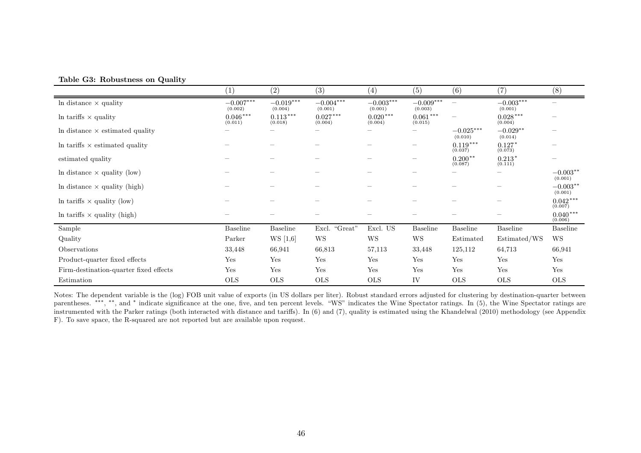|  | Table G3: Robustness on Quality |  |  |
|--|---------------------------------|--|--|
|--|---------------------------------|--|--|

|                                        | $\left( 1\right)$      | $\left( 2\right)$      | (3)                    | $\left( 4\right)$      | $\left( 5\right)$        | (6)                                   | (7)                    | (8)                             |
|----------------------------------------|------------------------|------------------------|------------------------|------------------------|--------------------------|---------------------------------------|------------------------|---------------------------------|
| In distance $\times$ quality           | $-0.007***$<br>(0.002) | $-0.019***$<br>(0.004) | $-0.004***$<br>(0.001) | $-0.003***$<br>(0.001) | $-0.009***$<br>(0.003)   | $\qquad \qquad -$                     | $-0.003***$<br>(0.001) | $\hspace{0.1mm}-\hspace{0.1mm}$ |
| In tariffs $\times$ quality            | $0.046***$<br>(0.011)  | $0.113***$<br>(0.018)  | $0.027***$<br>(0.004)  | $0.020***$<br>(0.004)  | $0.061***$<br>(0.015)    | $\hspace{1.0cm} \rule{1.5cm}{0.15cm}$ | $0.028***$<br>(0.004)  |                                 |
| In distance $\times$ estimated quality |                        |                        |                        |                        | $\overline{\phantom{a}}$ | $-0.025***$<br>(0.010)                | $-0.029**$<br>(0.014)  | $\hspace{0.1mm}-\hspace{0.1mm}$ |
| In tariffs $\times$ estimated quality  |                        |                        |                        |                        |                          | $0.119***$<br>(0.037)                 | $0.127*$<br>(0.073)    | $\hspace{0.1mm}-\hspace{0.1mm}$ |
| estimated quality                      |                        |                        |                        |                        |                          | $0.200**$<br>(0.087)                  | $0.213*$<br>(0.111)    | $\overline{\phantom{a}}$        |
| In distance $\times$ quality (low)     |                        |                        |                        |                        |                          |                                       |                        | $-0.003**$<br>(0.001)           |
| In distance $\times$ quality (high)    |                        |                        |                        |                        |                          |                                       |                        | $-0.003**$<br>(0.001)           |
| In tariffs $\times$ quality (low)      |                        |                        |                        |                        |                          |                                       |                        | $0.042***$<br>(0.007)           |
| In tariffs $\times$ quality (high)     |                        |                        |                        |                        |                          |                                       |                        | $0.040***$<br>(0.006)           |
| Sample                                 | <b>Baseline</b>        | <b>Baseline</b>        | Excl. "Great"          | Excl. US               | <b>Baseline</b>          | <b>Baseline</b>                       | <b>Baseline</b>        | Baseline                        |
| Quality                                | Parker                 | WS [1,6]               | WS                     | <b>WS</b>              | WS                       | Estimated                             | Estimated/WS           | WS                              |
| Observations                           | 33,448                 | 66,941                 | 66,813                 | 57,113                 | 33,448                   | 125,112                               | 64,713                 | 66,941                          |
| Product-quarter fixed effects          | Yes                    | Yes                    | Yes                    | Yes                    | Yes                      | Yes                                   | Yes                    | Yes                             |
| Firm-destination-quarter fixed effects | Yes                    | Yes                    | Yes                    | Yes                    | Yes                      | Yes                                   | Yes                    | Yes                             |
| Estimation                             | <b>OLS</b>             | <b>OLS</b>             | <b>OLS</b>             | <b>OLS</b>             | IV                       | <b>OLS</b>                            | <b>OLS</b>             | <b>OLS</b>                      |

Notes: The dependent variable is the (log) FOB unit value of exports (in US dollars per liter). Robust standard errors adjusted for clustering by destination-quarter between parentheses. \*\*\*, \*\*, and \* indicate significance at the one, five, and ten percent levels. "WS" indicates the Wine Spectator ratings. In (5), the Wine Spectator ratings are instrumented with the Parker ratings (both interacted with distance and tariffs). In (6) and (7), quality is estimated using the Khandelwal (2010) methodology (see Appendix F). To save space, the R-squared are not reported but are available upon request.